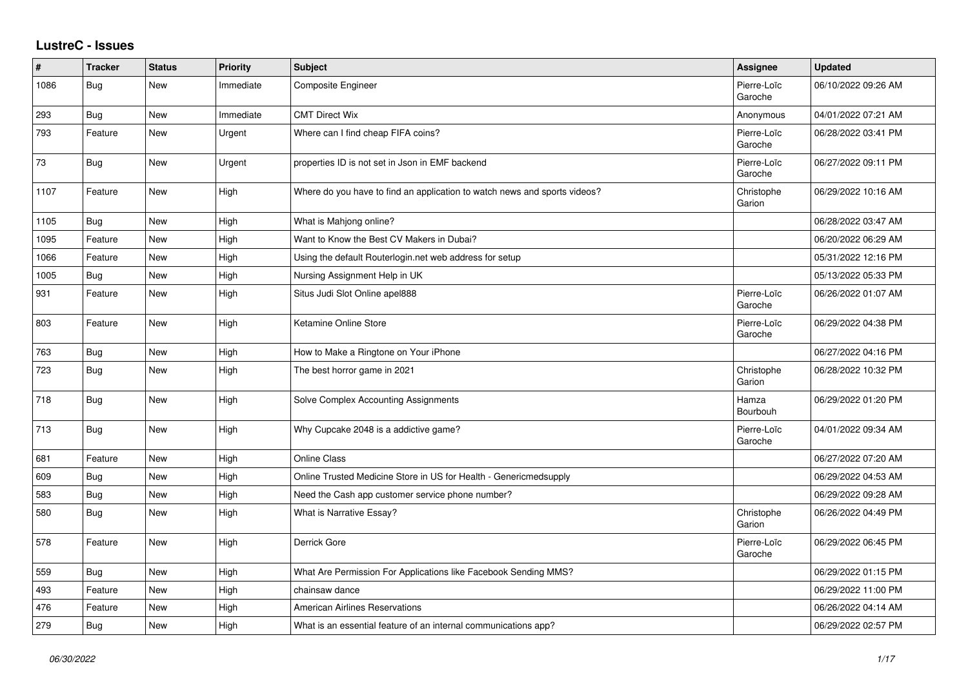## **LustreC - Issues**

| $\vert$ # | <b>Tracker</b> | <b>Status</b> | <b>Priority</b> | <b>Subject</b>                                                            | Assignee               | <b>Updated</b>      |
|-----------|----------------|---------------|-----------------|---------------------------------------------------------------------------|------------------------|---------------------|
| 1086      | Bug            | <b>New</b>    | Immediate       | Composite Engineer                                                        | Pierre-Loïc<br>Garoche | 06/10/2022 09:26 AM |
| 293       | Bug            | New           | Immediate       | <b>CMT Direct Wix</b>                                                     | Anonymous              | 04/01/2022 07:21 AM |
| 793       | Feature        | New           | Urgent          | Where can I find cheap FIFA coins?                                        | Pierre-Loïc<br>Garoche | 06/28/2022 03:41 PM |
| 73        | Bug            | <b>New</b>    | Urgent          | properties ID is not set in Json in EMF backend                           | Pierre-Loïc<br>Garoche | 06/27/2022 09:11 PM |
| 1107      | Feature        | New           | High            | Where do you have to find an application to watch news and sports videos? | Christophe<br>Garion   | 06/29/2022 10:16 AM |
| 1105      | Bug            | New           | High            | What is Mahjong online?                                                   |                        | 06/28/2022 03:47 AM |
| 1095      | Feature        | <b>New</b>    | High            | Want to Know the Best CV Makers in Dubai?                                 |                        | 06/20/2022 06:29 AM |
| 1066      | Feature        | New           | High            | Using the default Routerlogin.net web address for setup                   |                        | 05/31/2022 12:16 PM |
| 1005      | Bug            | New           | High            | Nursing Assignment Help in UK                                             |                        | 05/13/2022 05:33 PM |
| 931       | Feature        | New           | High            | Situs Judi Slot Online apel888                                            | Pierre-Loïc<br>Garoche | 06/26/2022 01:07 AM |
| 803       | Feature        | <b>New</b>    | High            | Ketamine Online Store                                                     | Pierre-Loïc<br>Garoche | 06/29/2022 04:38 PM |
| 763       | Bug            | New           | High            | How to Make a Ringtone on Your iPhone                                     |                        | 06/27/2022 04:16 PM |
| 723       | Bug            | New           | High            | The best horror game in 2021                                              | Christophe<br>Garion   | 06/28/2022 10:32 PM |
| 718       | Bug            | New           | High            | Solve Complex Accounting Assignments                                      | Hamza<br>Bourbouh      | 06/29/2022 01:20 PM |
| 713       | Bug            | New           | High            | Why Cupcake 2048 is a addictive game?                                     | Pierre-Loïc<br>Garoche | 04/01/2022 09:34 AM |
| 681       | Feature        | New           | High            | Online Class                                                              |                        | 06/27/2022 07:20 AM |
| 609       | Bug            | New           | High            | Online Trusted Medicine Store in US for Health - Genericmedsupply         |                        | 06/29/2022 04:53 AM |
| 583       | Bug            | New           | High            | Need the Cash app customer service phone number?                          |                        | 06/29/2022 09:28 AM |
| 580       | Bug            | New           | High            | What is Narrative Essay?                                                  | Christophe<br>Garion   | 06/26/2022 04:49 PM |
| 578       | Feature        | New           | High            | Derrick Gore                                                              | Pierre-Loïc<br>Garoche | 06/29/2022 06:45 PM |
| 559       | Bug            | New           | High            | What Are Permission For Applications like Facebook Sending MMS?           |                        | 06/29/2022 01:15 PM |
| 493       | Feature        | New           | High            | chainsaw dance                                                            |                        | 06/29/2022 11:00 PM |
| 476       | Feature        | New           | High            | <b>American Airlines Reservations</b>                                     |                        | 06/26/2022 04:14 AM |
| 279       | Bug            | New           | High            | What is an essential feature of an internal communications app?           |                        | 06/29/2022 02:57 PM |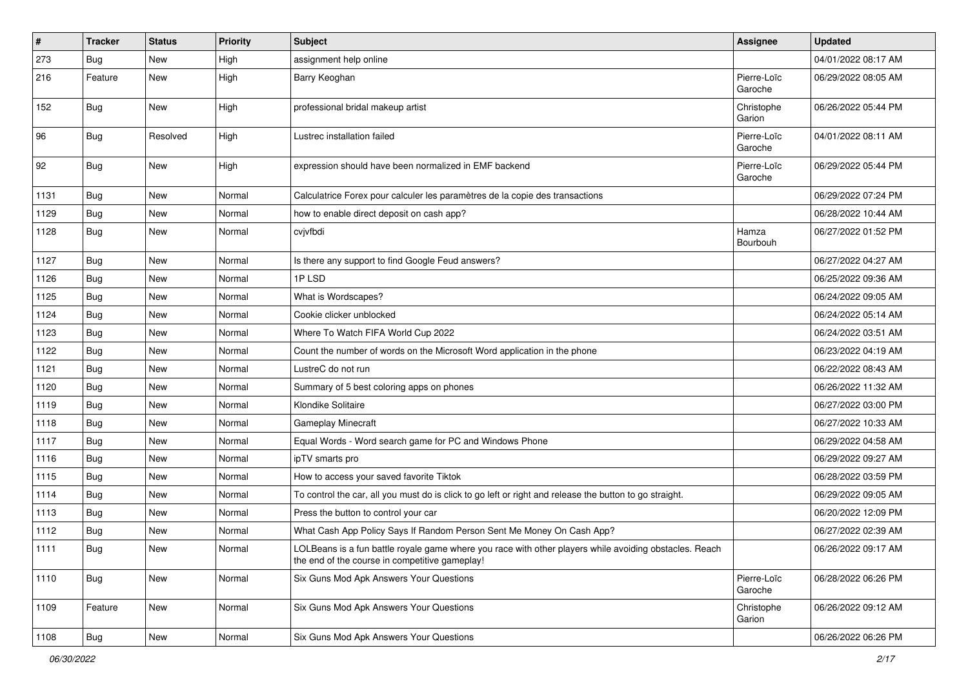| #    | <b>Tracker</b> | <b>Status</b> | <b>Priority</b> | <b>Subject</b>                                                                                                                                           | Assignee               | <b>Updated</b>      |
|------|----------------|---------------|-----------------|----------------------------------------------------------------------------------------------------------------------------------------------------------|------------------------|---------------------|
| 273  | <b>Bug</b>     | New           | High            | assignment help online                                                                                                                                   |                        | 04/01/2022 08:17 AM |
| 216  | Feature        | New           | High            | Barry Keoghan                                                                                                                                            | Pierre-Loïc<br>Garoche | 06/29/2022 08:05 AM |
| 152  | Bug            | New           | High            | professional bridal makeup artist                                                                                                                        | Christophe<br>Garion   | 06/26/2022 05:44 PM |
| 96   | <b>Bug</b>     | Resolved      | High            | Lustrec installation failed                                                                                                                              | Pierre-Loïc<br>Garoche | 04/01/2022 08:11 AM |
| 92   | <b>Bug</b>     | New           | High            | expression should have been normalized in EMF backend                                                                                                    | Pierre-Loïc<br>Garoche | 06/29/2022 05:44 PM |
| 1131 | Bug            | New           | Normal          | Calculatrice Forex pour calculer les paramètres de la copie des transactions                                                                             |                        | 06/29/2022 07:24 PM |
| 1129 | <b>Bug</b>     | New           | Normal          | how to enable direct deposit on cash app?                                                                                                                |                        | 06/28/2022 10:44 AM |
| 1128 | Bug            | New           | Normal          | cvjvfbdi                                                                                                                                                 | Hamza<br>Bourbouh      | 06/27/2022 01:52 PM |
| 1127 | Bug            | New           | Normal          | Is there any support to find Google Feud answers?                                                                                                        |                        | 06/27/2022 04:27 AM |
| 1126 | <b>Bug</b>     | New           | Normal          | 1PLSD                                                                                                                                                    |                        | 06/25/2022 09:36 AM |
| 1125 | Bug            | New           | Normal          | What is Wordscapes?                                                                                                                                      |                        | 06/24/2022 09:05 AM |
| 1124 | <b>Bug</b>     | New           | Normal          | Cookie clicker unblocked                                                                                                                                 |                        | 06/24/2022 05:14 AM |
| 1123 | Bug            | New           | Normal          | Where To Watch FIFA World Cup 2022                                                                                                                       |                        | 06/24/2022 03:51 AM |
| 1122 | Bug            | New           | Normal          | Count the number of words on the Microsoft Word application in the phone                                                                                 |                        | 06/23/2022 04:19 AM |
| 1121 | <b>Bug</b>     | New           | Normal          | LustreC do not run                                                                                                                                       |                        | 06/22/2022 08:43 AM |
| 1120 | <b>Bug</b>     | New           | Normal          | Summary of 5 best coloring apps on phones                                                                                                                |                        | 06/26/2022 11:32 AM |
| 1119 | <b>Bug</b>     | New           | Normal          | Klondike Solitaire                                                                                                                                       |                        | 06/27/2022 03:00 PM |
| 1118 | <b>Bug</b>     | New           | Normal          | <b>Gameplay Minecraft</b>                                                                                                                                |                        | 06/27/2022 10:33 AM |
| 1117 | Bug            | New           | Normal          | Equal Words - Word search game for PC and Windows Phone                                                                                                  |                        | 06/29/2022 04:58 AM |
| 1116 | Bug            | New           | Normal          | ipTV smarts pro                                                                                                                                          |                        | 06/29/2022 09:27 AM |
| 1115 | Bug            | New           | Normal          | How to access your saved favorite Tiktok                                                                                                                 |                        | 06/28/2022 03:59 PM |
| 1114 | <b>Bug</b>     | New           | Normal          | To control the car, all you must do is click to go left or right and release the button to go straight.                                                  |                        | 06/29/2022 09:05 AM |
| 1113 | <b>Bug</b>     | New           | Normal          | Press the button to control your car                                                                                                                     |                        | 06/20/2022 12:09 PM |
| 1112 | Bug            | New           | Normal          | What Cash App Policy Says If Random Person Sent Me Money On Cash App?                                                                                    |                        | 06/27/2022 02:39 AM |
| 1111 | <b>Bug</b>     | New           | Normal          | LOLBeans is a fun battle royale game where you race with other players while avoiding obstacles. Reach<br>the end of the course in competitive gameplay! |                        | 06/26/2022 09:17 AM |
| 1110 | Bug            | New           | Normal          | Six Guns Mod Apk Answers Your Questions                                                                                                                  | Pierre-Loïc<br>Garoche | 06/28/2022 06:26 PM |
| 1109 | Feature        | New           | Normal          | Six Guns Mod Apk Answers Your Questions                                                                                                                  | Christophe<br>Garion   | 06/26/2022 09:12 AM |
| 1108 | <b>Bug</b>     | New           | Normal          | Six Guns Mod Apk Answers Your Questions                                                                                                                  |                        | 06/26/2022 06:26 PM |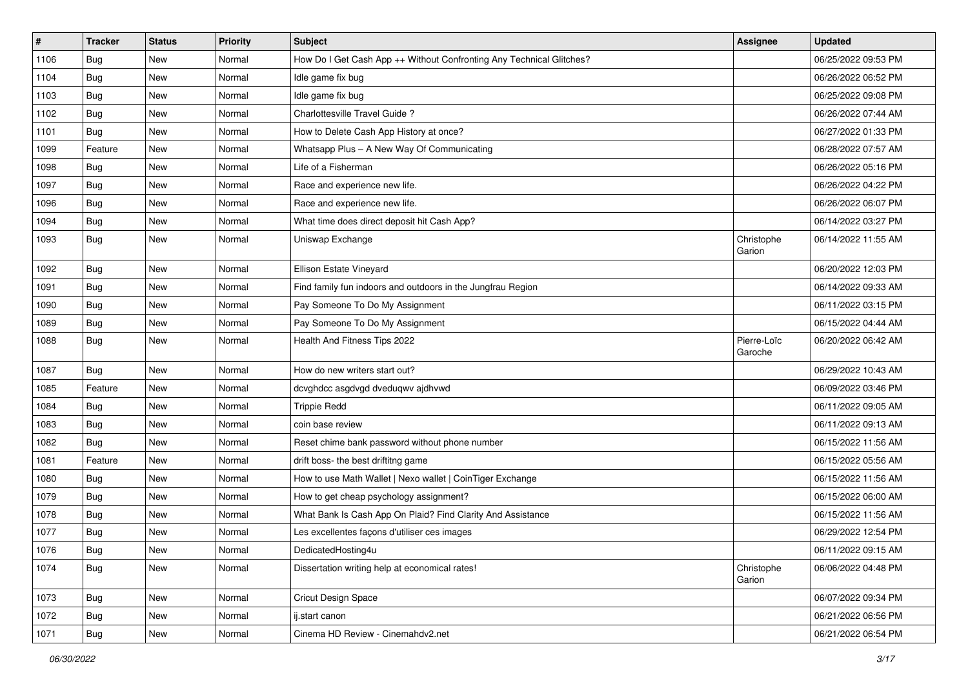| $\pmb{\#}$ | <b>Tracker</b> | <b>Status</b> | <b>Priority</b> | <b>Subject</b>                                                       | <b>Assignee</b>        | <b>Updated</b>      |
|------------|----------------|---------------|-----------------|----------------------------------------------------------------------|------------------------|---------------------|
| 1106       | <b>Bug</b>     | New           | Normal          | How Do I Get Cash App ++ Without Confronting Any Technical Glitches? |                        | 06/25/2022 09:53 PM |
| 1104       | <b>Bug</b>     | New           | Normal          | Idle game fix bug                                                    |                        | 06/26/2022 06:52 PM |
| 1103       | Bug            | New           | Normal          | Idle game fix bug                                                    |                        | 06/25/2022 09:08 PM |
| 1102       | <b>Bug</b>     | New           | Normal          | Charlottesville Travel Guide?                                        |                        | 06/26/2022 07:44 AM |
| 1101       | <b>Bug</b>     | New           | Normal          | How to Delete Cash App History at once?                              |                        | 06/27/2022 01:33 PM |
| 1099       | Feature        | New           | Normal          | Whatsapp Plus - A New Way Of Communicating                           |                        | 06/28/2022 07:57 AM |
| 1098       | Bug            | New           | Normal          | Life of a Fisherman                                                  |                        | 06/26/2022 05:16 PM |
| 1097       | Bug            | New           | Normal          | Race and experience new life.                                        |                        | 06/26/2022 04:22 PM |
| 1096       | Bug            | New           | Normal          | Race and experience new life.                                        |                        | 06/26/2022 06:07 PM |
| 1094       | Bug            | New           | Normal          | What time does direct deposit hit Cash App?                          |                        | 06/14/2022 03:27 PM |
| 1093       | Bug            | New           | Normal          | Uniswap Exchange                                                     | Christophe<br>Garion   | 06/14/2022 11:55 AM |
| 1092       | <b>Bug</b>     | New           | Normal          | Ellison Estate Vineyard                                              |                        | 06/20/2022 12:03 PM |
| 1091       | Bug            | New           | Normal          | Find family fun indoors and outdoors in the Jungfrau Region          |                        | 06/14/2022 09:33 AM |
| 1090       | <b>Bug</b>     | New           | Normal          | Pay Someone To Do My Assignment                                      |                        | 06/11/2022 03:15 PM |
| 1089       | Bug            | New           | Normal          | Pay Someone To Do My Assignment                                      |                        | 06/15/2022 04:44 AM |
| 1088       | <b>Bug</b>     | New           | Normal          | Health And Fitness Tips 2022                                         | Pierre-Loïc<br>Garoche | 06/20/2022 06:42 AM |
| 1087       | Bug            | New           | Normal          | How do new writers start out?                                        |                        | 06/29/2022 10:43 AM |
| 1085       | Feature        | New           | Normal          | dcvghdcc asgdvgd dveduqwv ajdhvwd                                    |                        | 06/09/2022 03:46 PM |
| 1084       | <b>Bug</b>     | New           | Normal          | <b>Trippie Redd</b>                                                  |                        | 06/11/2022 09:05 AM |
| 1083       | Bug            | New           | Normal          | coin base review                                                     |                        | 06/11/2022 09:13 AM |
| 1082       | <b>Bug</b>     | New           | Normal          | Reset chime bank password without phone number                       |                        | 06/15/2022 11:56 AM |
| 1081       | Feature        | New           | Normal          | drift boss- the best driftitng game                                  |                        | 06/15/2022 05:56 AM |
| 1080       | <b>Bug</b>     | New           | Normal          | How to use Math Wallet   Nexo wallet   CoinTiger Exchange            |                        | 06/15/2022 11:56 AM |
| 1079       | Bug            | New           | Normal          | How to get cheap psychology assignment?                              |                        | 06/15/2022 06:00 AM |
| 1078       | <b>Bug</b>     | New           | Normal          | What Bank Is Cash App On Plaid? Find Clarity And Assistance          |                        | 06/15/2022 11:56 AM |
| 1077       | <b>Bug</b>     | New           | Normal          | Les excellentes façons d'utiliser ces images                         |                        | 06/29/2022 12:54 PM |
| 1076       | Bug            | New           | Normal          | DedicatedHosting4u                                                   |                        | 06/11/2022 09:15 AM |
| 1074       | Bug            | New           | Normal          | Dissertation writing help at economical rates!                       | Christophe<br>Garion   | 06/06/2022 04:48 PM |
| 1073       | <b>Bug</b>     | New           | Normal          | <b>Cricut Design Space</b>                                           |                        | 06/07/2022 09:34 PM |
| 1072       | <b>Bug</b>     | New           | Normal          | ij.start canon                                                       |                        | 06/21/2022 06:56 PM |
| 1071       | Bug            | New           | Normal          | Cinema HD Review - Cinemahdv2.net                                    |                        | 06/21/2022 06:54 PM |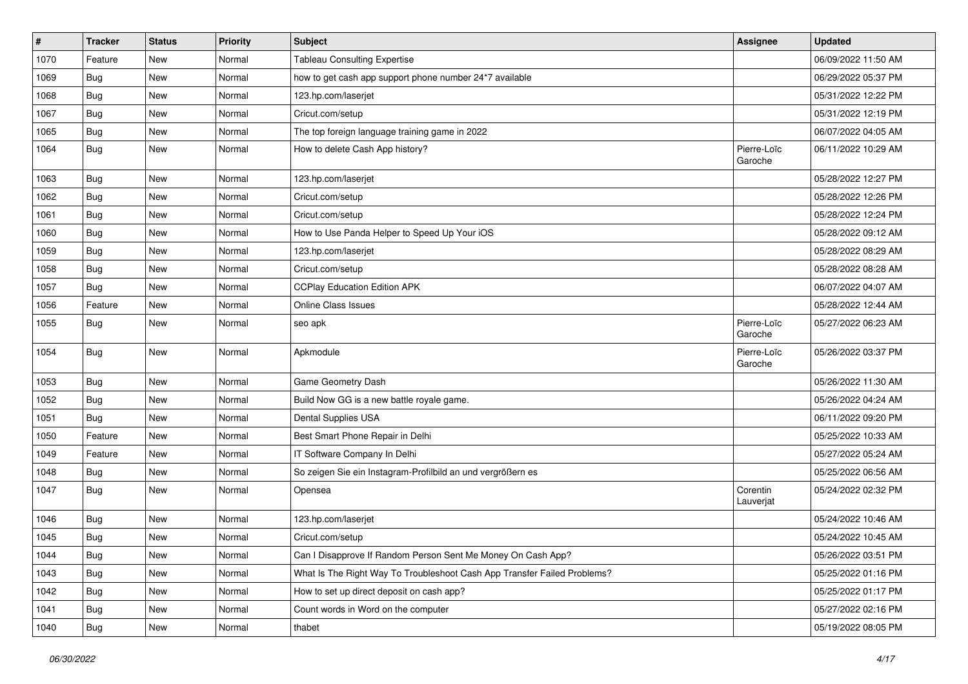| #    | <b>Tracker</b> | <b>Status</b> | <b>Priority</b> | <b>Subject</b>                                                           | Assignee               | <b>Updated</b>      |
|------|----------------|---------------|-----------------|--------------------------------------------------------------------------|------------------------|---------------------|
| 1070 | Feature        | New           | Normal          | <b>Tableau Consulting Expertise</b>                                      |                        | 06/09/2022 11:50 AM |
| 1069 | <b>Bug</b>     | New           | Normal          | how to get cash app support phone number 24*7 available                  |                        | 06/29/2022 05:37 PM |
| 1068 | <b>Bug</b>     | New           | Normal          | 123.hp.com/laserjet                                                      |                        | 05/31/2022 12:22 PM |
| 1067 | Bug            | New           | Normal          | Cricut.com/setup                                                         |                        | 05/31/2022 12:19 PM |
| 1065 | Bug            | New           | Normal          | The top foreign language training game in 2022                           |                        | 06/07/2022 04:05 AM |
| 1064 | <b>Bug</b>     | New           | Normal          | How to delete Cash App history?                                          | Pierre-Loïc<br>Garoche | 06/11/2022 10:29 AM |
| 1063 | Bug            | New           | Normal          | 123.hp.com/laserjet                                                      |                        | 05/28/2022 12:27 PM |
| 1062 | Bug            | New           | Normal          | Cricut.com/setup                                                         |                        | 05/28/2022 12:26 PM |
| 1061 | Bug            | New           | Normal          | Cricut.com/setup                                                         |                        | 05/28/2022 12:24 PM |
| 1060 | Bug            | New           | Normal          | How to Use Panda Helper to Speed Up Your iOS                             |                        | 05/28/2022 09:12 AM |
| 1059 | Bug            | New           | Normal          | 123.hp.com/laserjet                                                      |                        | 05/28/2022 08:29 AM |
| 1058 | Bug            | New           | Normal          | Cricut.com/setup                                                         |                        | 05/28/2022 08:28 AM |
| 1057 | Bug            | New           | Normal          | <b>CCPlay Education Edition APK</b>                                      |                        | 06/07/2022 04:07 AM |
| 1056 | Feature        | New           | Normal          | Online Class Issues                                                      |                        | 05/28/2022 12:44 AM |
| 1055 | Bug            | New           | Normal          | seo apk                                                                  | Pierre-Loïc<br>Garoche | 05/27/2022 06:23 AM |
| 1054 | Bug            | <b>New</b>    | Normal          | Apkmodule                                                                | Pierre-Loïc<br>Garoche | 05/26/2022 03:37 PM |
| 1053 | Bug            | New           | Normal          | Game Geometry Dash                                                       |                        | 05/26/2022 11:30 AM |
| 1052 | Bug            | New           | Normal          | Build Now GG is a new battle royale game.                                |                        | 05/26/2022 04:24 AM |
| 1051 | Bug            | New           | Normal          | Dental Supplies USA                                                      |                        | 06/11/2022 09:20 PM |
| 1050 | Feature        | New           | Normal          | Best Smart Phone Repair in Delhi                                         |                        | 05/25/2022 10:33 AM |
| 1049 | Feature        | New           | Normal          | IT Software Company In Delhi                                             |                        | 05/27/2022 05:24 AM |
| 1048 | <b>Bug</b>     | New           | Normal          | So zeigen Sie ein Instagram-Profilbild an und vergrößern es              |                        | 05/25/2022 06:56 AM |
| 1047 | <b>Bug</b>     | New           | Normal          | Opensea                                                                  | Corentin<br>Lauverjat  | 05/24/2022 02:32 PM |
| 1046 | Bug            | New           | Normal          | 123.hp.com/laserjet                                                      |                        | 05/24/2022 10:46 AM |
| 1045 | Bug            | New           | Normal          | Cricut.com/setup                                                         |                        | 05/24/2022 10:45 AM |
| 1044 | <b>Bug</b>     | New           | Normal          | Can I Disapprove If Random Person Sent Me Money On Cash App?             |                        | 05/26/2022 03:51 PM |
| 1043 | <b>Bug</b>     | New           | Normal          | What Is The Right Way To Troubleshoot Cash App Transfer Failed Problems? |                        | 05/25/2022 01:16 PM |
| 1042 | Bug            | New           | Normal          | How to set up direct deposit on cash app?                                |                        | 05/25/2022 01:17 PM |
| 1041 | Bug            | New           | Normal          | Count words in Word on the computer                                      |                        | 05/27/2022 02:16 PM |
| 1040 | <b>Bug</b>     | New           | Normal          | thabet                                                                   |                        | 05/19/2022 08:05 PM |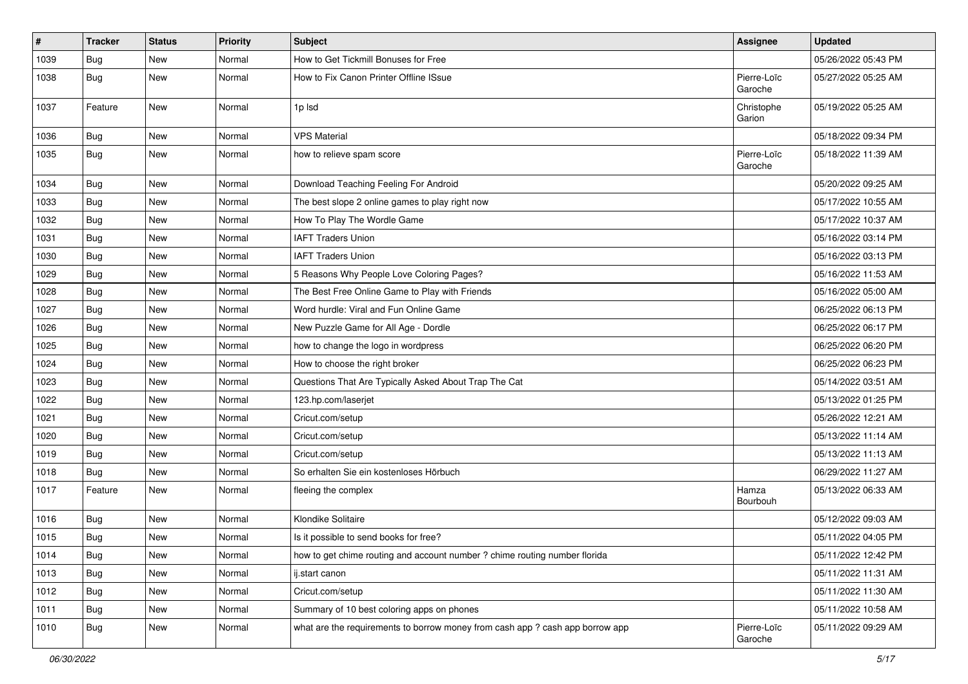| $\#$ | <b>Tracker</b> | <b>Status</b> | <b>Priority</b> | <b>Subject</b>                                                                | Assignee               | <b>Updated</b>      |
|------|----------------|---------------|-----------------|-------------------------------------------------------------------------------|------------------------|---------------------|
| 1039 | <b>Bug</b>     | New           | Normal          | How to Get Tickmill Bonuses for Free                                          |                        | 05/26/2022 05:43 PM |
| 1038 | Bug            | New           | Normal          | How to Fix Canon Printer Offline ISsue                                        | Pierre-Loïc<br>Garoche | 05/27/2022 05:25 AM |
| 1037 | Feature        | New           | Normal          | 1p lsd                                                                        | Christophe<br>Garion   | 05/19/2022 05:25 AM |
| 1036 | Bug            | New           | Normal          | <b>VPS Material</b>                                                           |                        | 05/18/2022 09:34 PM |
| 1035 | Bug            | New           | Normal          | how to relieve spam score                                                     | Pierre-Loïc<br>Garoche | 05/18/2022 11:39 AM |
| 1034 | Bug            | New           | Normal          | Download Teaching Feeling For Android                                         |                        | 05/20/2022 09:25 AM |
| 1033 | Bug            | <b>New</b>    | Normal          | The best slope 2 online games to play right now                               |                        | 05/17/2022 10:55 AM |
| 1032 | Bug            | New           | Normal          | How To Play The Wordle Game                                                   |                        | 05/17/2022 10:37 AM |
| 1031 | <b>Bug</b>     | New           | Normal          | <b>IAFT Traders Union</b>                                                     |                        | 05/16/2022 03:14 PM |
| 1030 | <b>Bug</b>     | New           | Normal          | <b>IAFT Traders Union</b>                                                     |                        | 05/16/2022 03:13 PM |
| 1029 | Bug            | New           | Normal          | 5 Reasons Why People Love Coloring Pages?                                     |                        | 05/16/2022 11:53 AM |
| 1028 | <b>Bug</b>     | New           | Normal          | The Best Free Online Game to Play with Friends                                |                        | 05/16/2022 05:00 AM |
| 1027 | Bug            | New           | Normal          | Word hurdle: Viral and Fun Online Game                                        |                        | 06/25/2022 06:13 PM |
| 1026 | Bug            | New           | Normal          | New Puzzle Game for All Age - Dordle                                          |                        | 06/25/2022 06:17 PM |
| 1025 | Bug            | New           | Normal          | how to change the logo in wordpress                                           |                        | 06/25/2022 06:20 PM |
| 1024 | <b>Bug</b>     | New           | Normal          | How to choose the right broker                                                |                        | 06/25/2022 06:23 PM |
| 1023 | <b>Bug</b>     | New           | Normal          | Questions That Are Typically Asked About Trap The Cat                         |                        | 05/14/2022 03:51 AM |
| 1022 | Bug            | New           | Normal          | 123.hp.com/laserjet                                                           |                        | 05/13/2022 01:25 PM |
| 1021 | <b>Bug</b>     | New           | Normal          | Cricut.com/setup                                                              |                        | 05/26/2022 12:21 AM |
| 1020 | <b>Bug</b>     | New           | Normal          | Cricut.com/setup                                                              |                        | 05/13/2022 11:14 AM |
| 1019 | Bug            | New           | Normal          | Cricut.com/setup                                                              |                        | 05/13/2022 11:13 AM |
| 1018 | Bug            | New           | Normal          | So erhalten Sie ein kostenloses Hörbuch                                       |                        | 06/29/2022 11:27 AM |
| 1017 | Feature        | New           | Normal          | fleeing the complex                                                           | Hamza<br>Bourbouh      | 05/13/2022 06:33 AM |
| 1016 | <b>Bug</b>     | New           | Normal          | Klondike Solitaire                                                            |                        | 05/12/2022 09:03 AM |
| 1015 | <b>Bug</b>     | New           | Normal          | Is it possible to send books for free?                                        |                        | 05/11/2022 04:05 PM |
| 1014 | <b>Bug</b>     | New           | Normal          | how to get chime routing and account number ? chime routing number florida    |                        | 05/11/2022 12:42 PM |
| 1013 | Bug            | New           | Normal          | ij.start canon                                                                |                        | 05/11/2022 11:31 AM |
| 1012 | <b>Bug</b>     | New           | Normal          | Cricut.com/setup                                                              |                        | 05/11/2022 11:30 AM |
| 1011 | Bug            | New           | Normal          | Summary of 10 best coloring apps on phones                                    |                        | 05/11/2022 10:58 AM |
| 1010 | <b>Bug</b>     | New           | Normal          | what are the requirements to borrow money from cash app ? cash app borrow app | Pierre-Loïc<br>Garoche | 05/11/2022 09:29 AM |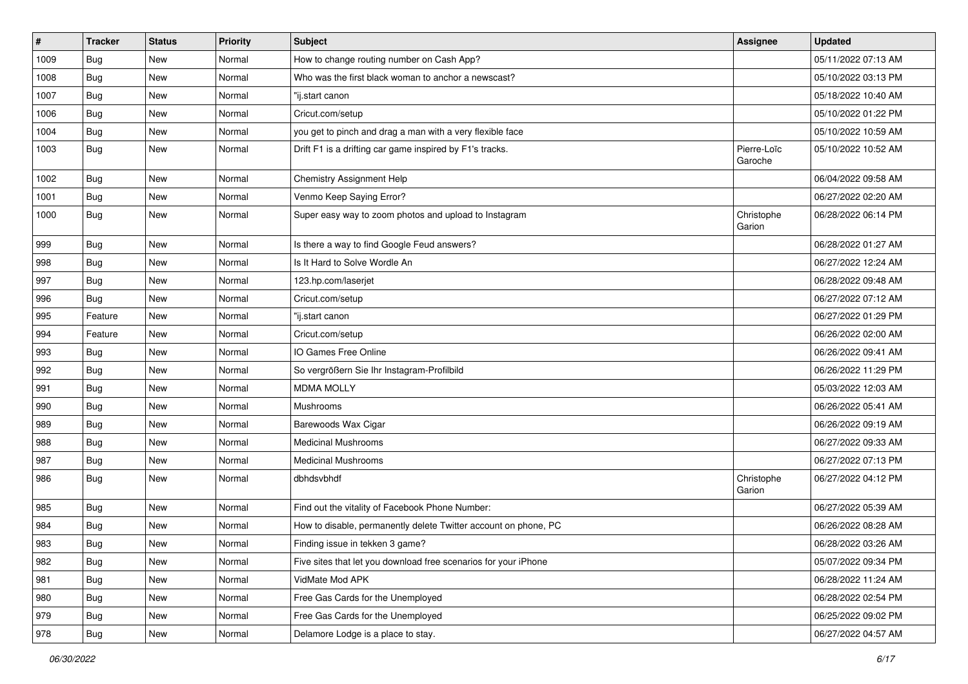| $\pmb{\#}$ | <b>Tracker</b> | <b>Status</b> | <b>Priority</b> | <b>Subject</b>                                                  | <b>Assignee</b>        | <b>Updated</b>      |
|------------|----------------|---------------|-----------------|-----------------------------------------------------------------|------------------------|---------------------|
| 1009       | <b>Bug</b>     | New           | Normal          | How to change routing number on Cash App?                       |                        | 05/11/2022 07:13 AM |
| 1008       | Bug            | <b>New</b>    | Normal          | Who was the first black woman to anchor a newscast?             |                        | 05/10/2022 03:13 PM |
| 1007       | Bug            | New           | Normal          | "ij.start canon                                                 |                        | 05/18/2022 10:40 AM |
| 1006       | Bug            | New           | Normal          | Cricut.com/setup                                                |                        | 05/10/2022 01:22 PM |
| 1004       | <b>Bug</b>     | New           | Normal          | you get to pinch and drag a man with a very flexible face       |                        | 05/10/2022 10:59 AM |
| 1003       | Bug            | New           | Normal          | Drift F1 is a drifting car game inspired by F1's tracks.        | Pierre-Loïc<br>Garoche | 05/10/2022 10:52 AM |
| 1002       | Bug            | New           | Normal          | Chemistry Assignment Help                                       |                        | 06/04/2022 09:58 AM |
| 1001       | <b>Bug</b>     | New           | Normal          | Venmo Keep Saying Error?                                        |                        | 06/27/2022 02:20 AM |
| 1000       | <b>Bug</b>     | New           | Normal          | Super easy way to zoom photos and upload to Instagram           | Christophe<br>Garion   | 06/28/2022 06:14 PM |
| 999        | <b>Bug</b>     | New           | Normal          | Is there a way to find Google Feud answers?                     |                        | 06/28/2022 01:27 AM |
| 998        | Bug            | New           | Normal          | Is It Hard to Solve Wordle An                                   |                        | 06/27/2022 12:24 AM |
| 997        | <b>Bug</b>     | New           | Normal          | 123.hp.com/laserjet                                             |                        | 06/28/2022 09:48 AM |
| 996        | <b>Bug</b>     | New           | Normal          | Cricut.com/setup                                                |                        | 06/27/2022 07:12 AM |
| 995        | Feature        | New           | Normal          | "ij.start canon                                                 |                        | 06/27/2022 01:29 PM |
| 994        | Feature        | New           | Normal          | Cricut.com/setup                                                |                        | 06/26/2022 02:00 AM |
| 993        | Bug            | New           | Normal          | IO Games Free Online                                            |                        | 06/26/2022 09:41 AM |
| 992        | Bug            | New           | Normal          | So vergrößern Sie Ihr Instagram-Profilbild                      |                        | 06/26/2022 11:29 PM |
| 991        | Bug            | New           | Normal          | <b>MDMA MOLLY</b>                                               |                        | 05/03/2022 12:03 AM |
| 990        | Bug            | New           | Normal          | Mushrooms                                                       |                        | 06/26/2022 05:41 AM |
| 989        | <b>Bug</b>     | New           | Normal          | Barewoods Wax Cigar                                             |                        | 06/26/2022 09:19 AM |
| 988        | Bug            | New           | Normal          | <b>Medicinal Mushrooms</b>                                      |                        | 06/27/2022 09:33 AM |
| 987        | <b>Bug</b>     | New           | Normal          | <b>Medicinal Mushrooms</b>                                      |                        | 06/27/2022 07:13 PM |
| 986        | Bug            | New           | Normal          | dbhdsvbhdf                                                      | Christophe<br>Garion   | 06/27/2022 04:12 PM |
| 985        | Bug            | New           | Normal          | Find out the vitality of Facebook Phone Number:                 |                        | 06/27/2022 05:39 AM |
| 984        | <b>Bug</b>     | New           | Normal          | How to disable, permanently delete Twitter account on phone, PC |                        | 06/26/2022 08:28 AM |
| 983        | Bug            | New           | Normal          | Finding issue in tekken 3 game?                                 |                        | 06/28/2022 03:26 AM |
| 982        | <b>Bug</b>     | New           | Normal          | Five sites that let you download free scenarios for your iPhone |                        | 05/07/2022 09:34 PM |
| 981        | Bug            | New           | Normal          | VidMate Mod APK                                                 |                        | 06/28/2022 11:24 AM |
| 980        | Bug            | New           | Normal          | Free Gas Cards for the Unemployed                               |                        | 06/28/2022 02:54 PM |
| 979        | <b>Bug</b>     | New           | Normal          | Free Gas Cards for the Unemployed                               |                        | 06/25/2022 09:02 PM |
| 978        | Bug            | New           | Normal          | Delamore Lodge is a place to stay.                              |                        | 06/27/2022 04:57 AM |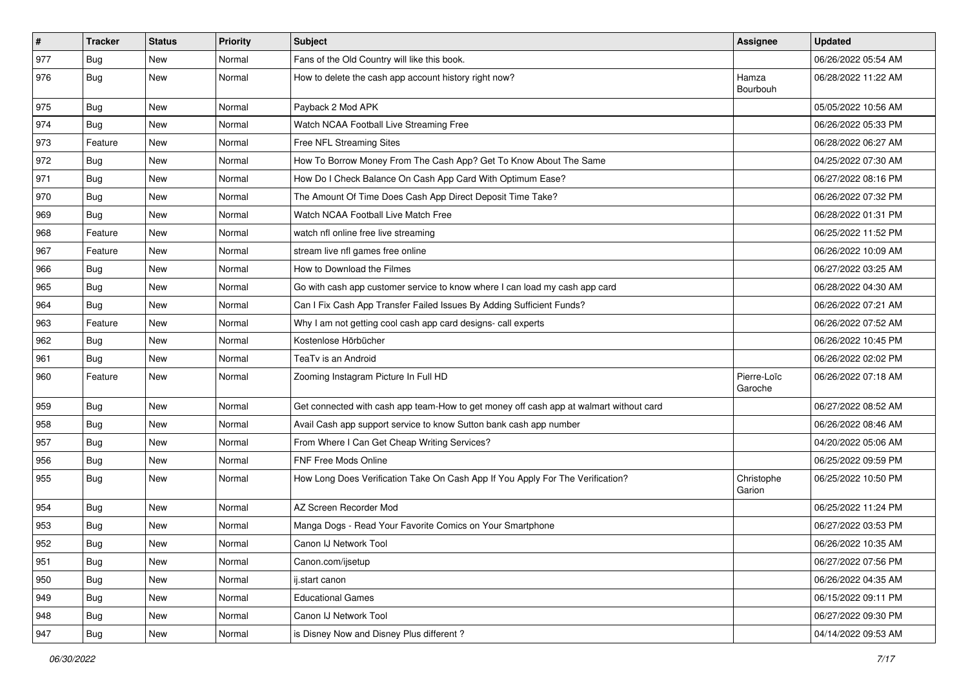| $\vert$ # | Tracker    | <b>Status</b> | <b>Priority</b> | <b>Subject</b>                                                                         | Assignee               | <b>Updated</b>      |
|-----------|------------|---------------|-----------------|----------------------------------------------------------------------------------------|------------------------|---------------------|
| 977       | <b>Bug</b> | New           | Normal          | Fans of the Old Country will like this book.                                           |                        | 06/26/2022 05:54 AM |
| 976       | Bug        | New           | Normal          | How to delete the cash app account history right now?                                  | Hamza<br>Bourbouh      | 06/28/2022 11:22 AM |
| 975       | Bug        | New           | Normal          | Payback 2 Mod APK                                                                      |                        | 05/05/2022 10:56 AM |
| 974       | Bug        | New           | Normal          | Watch NCAA Football Live Streaming Free                                                |                        | 06/26/2022 05:33 PM |
| 973       | Feature    | New           | Normal          | Free NFL Streaming Sites                                                               |                        | 06/28/2022 06:27 AM |
| 972       | <b>Bug</b> | New           | Normal          | How To Borrow Money From The Cash App? Get To Know About The Same                      |                        | 04/25/2022 07:30 AM |
| 971       | Bug        | New           | Normal          | How Do I Check Balance On Cash App Card With Optimum Ease?                             |                        | 06/27/2022 08:16 PM |
| 970       | <b>Bug</b> | New           | Normal          | The Amount Of Time Does Cash App Direct Deposit Time Take?                             |                        | 06/26/2022 07:32 PM |
| 969       | Bug        | New           | Normal          | Watch NCAA Football Live Match Free                                                    |                        | 06/28/2022 01:31 PM |
| 968       | Feature    | New           | Normal          | watch nfl online free live streaming                                                   |                        | 06/25/2022 11:52 PM |
| 967       | Feature    | New           | Normal          | stream live nfl games free online                                                      |                        | 06/26/2022 10:09 AM |
| 966       | <b>Bug</b> | New           | Normal          | How to Download the Filmes                                                             |                        | 06/27/2022 03:25 AM |
| 965       | <b>Bug</b> | New           | Normal          | Go with cash app customer service to know where I can load my cash app card            |                        | 06/28/2022 04:30 AM |
| 964       | <b>Bug</b> | New           | Normal          | Can I Fix Cash App Transfer Failed Issues By Adding Sufficient Funds?                  |                        | 06/26/2022 07:21 AM |
| 963       | Feature    | New           | Normal          | Why I am not getting cool cash app card designs- call experts                          |                        | 06/26/2022 07:52 AM |
| 962       | Bug        | New           | Normal          | Kostenlose Hörbücher                                                                   |                        | 06/26/2022 10:45 PM |
| 961       | <b>Bug</b> | New           | Normal          | TeaTv is an Android                                                                    |                        | 06/26/2022 02:02 PM |
| 960       | Feature    | New           | Normal          | Zooming Instagram Picture In Full HD                                                   | Pierre-Loïc<br>Garoche | 06/26/2022 07:18 AM |
| 959       | Bug        | New           | Normal          | Get connected with cash app team-How to get money off cash app at walmart without card |                        | 06/27/2022 08:52 AM |
| 958       | Bug        | New           | Normal          | Avail Cash app support service to know Sutton bank cash app number                     |                        | 06/26/2022 08:46 AM |
| 957       | Bug        | New           | Normal          | From Where I Can Get Cheap Writing Services?                                           |                        | 04/20/2022 05:06 AM |
| 956       | <b>Bug</b> | New           | Normal          | <b>FNF Free Mods Online</b>                                                            |                        | 06/25/2022 09:59 PM |
| 955       | Bug        | New           | Normal          | How Long Does Verification Take On Cash App If You Apply For The Verification?         | Christophe<br>Garion   | 06/25/2022 10:50 PM |
| 954       | <b>Bug</b> | New           | Normal          | AZ Screen Recorder Mod                                                                 |                        | 06/25/2022 11:24 PM |
| 953       | <b>Bug</b> | New           | Normal          | Manga Dogs - Read Your Favorite Comics on Your Smartphone                              |                        | 06/27/2022 03:53 PM |
| 952       | Bug        | New           | Normal          | Canon IJ Network Tool                                                                  |                        | 06/26/2022 10:35 AM |
| 951       | <b>Bug</b> | New           | Normal          | Canon.com/ijsetup                                                                      |                        | 06/27/2022 07:56 PM |
| 950       | Bug        | New           | Normal          | ij.start canon                                                                         |                        | 06/26/2022 04:35 AM |
| 949       | <b>Bug</b> | New           | Normal          | <b>Educational Games</b>                                                               |                        | 06/15/2022 09:11 PM |
| 948       | <b>Bug</b> | New           | Normal          | Canon IJ Network Tool                                                                  |                        | 06/27/2022 09:30 PM |
| 947       | Bug        | New           | Normal          | is Disney Now and Disney Plus different?                                               |                        | 04/14/2022 09:53 AM |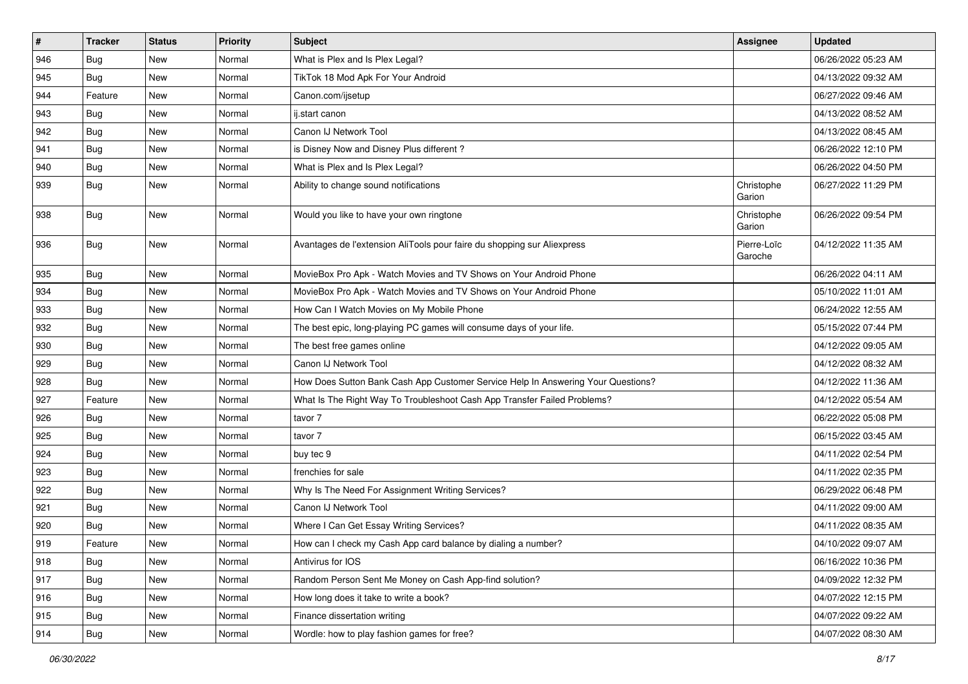| $\vert$ # | Tracker    | <b>Status</b> | <b>Priority</b> | <b>Subject</b>                                                                   | <b>Assignee</b>        | <b>Updated</b>      |
|-----------|------------|---------------|-----------------|----------------------------------------------------------------------------------|------------------------|---------------------|
| 946       | <b>Bug</b> | New           | Normal          | What is Plex and Is Plex Legal?                                                  |                        | 06/26/2022 05:23 AM |
| 945       | Bug        | New           | Normal          | TikTok 18 Mod Apk For Your Android                                               |                        | 04/13/2022 09:32 AM |
| 944       | Feature    | New           | Normal          | Canon.com/ijsetup                                                                |                        | 06/27/2022 09:46 AM |
| 943       | <b>Bug</b> | New           | Normal          | ij.start canon                                                                   |                        | 04/13/2022 08:52 AM |
| 942       | Bug        | New           | Normal          | Canon IJ Network Tool                                                            |                        | 04/13/2022 08:45 AM |
| 941       | Bug        | New           | Normal          | is Disney Now and Disney Plus different?                                         |                        | 06/26/2022 12:10 PM |
| 940       | <b>Bug</b> | New           | Normal          | What is Plex and Is Plex Legal?                                                  |                        | 06/26/2022 04:50 PM |
| 939       | Bug        | New           | Normal          | Ability to change sound notifications                                            | Christophe<br>Garion   | 06/27/2022 11:29 PM |
| 938       | Bug        | New           | Normal          | Would you like to have your own ringtone                                         | Christophe<br>Garion   | 06/26/2022 09:54 PM |
| 936       | Bug        | New           | Normal          | Avantages de l'extension AliTools pour faire du shopping sur Aliexpress          | Pierre-Loïc<br>Garoche | 04/12/2022 11:35 AM |
| 935       | <b>Bug</b> | New           | Normal          | MovieBox Pro Apk - Watch Movies and TV Shows on Your Android Phone               |                        | 06/26/2022 04:11 AM |
| 934       | <b>Bug</b> | New           | Normal          | MovieBox Pro Apk - Watch Movies and TV Shows on Your Android Phone               |                        | 05/10/2022 11:01 AM |
| 933       | Bug        | New           | Normal          | How Can I Watch Movies on My Mobile Phone                                        |                        | 06/24/2022 12:55 AM |
| 932       | <b>Bug</b> | New           | Normal          | The best epic, long-playing PC games will consume days of your life.             |                        | 05/15/2022 07:44 PM |
| 930       | Bug        | New           | Normal          | The best free games online                                                       |                        | 04/12/2022 09:05 AM |
| 929       | Bug        | New           | Normal          | Canon IJ Network Tool                                                            |                        | 04/12/2022 08:32 AM |
| 928       | <b>Bug</b> | New           | Normal          | How Does Sutton Bank Cash App Customer Service Help In Answering Your Questions? |                        | 04/12/2022 11:36 AM |
| 927       | Feature    | New           | Normal          | What Is The Right Way To Troubleshoot Cash App Transfer Failed Problems?         |                        | 04/12/2022 05:54 AM |
| 926       | <b>Bug</b> | New           | Normal          | tavor 7                                                                          |                        | 06/22/2022 05:08 PM |
| 925       | Bug        | New           | Normal          | tavor 7                                                                          |                        | 06/15/2022 03:45 AM |
| 924       | <b>Bug</b> | New           | Normal          | buy tec 9                                                                        |                        | 04/11/2022 02:54 PM |
| 923       | <b>Bug</b> | New           | Normal          | frenchies for sale                                                               |                        | 04/11/2022 02:35 PM |
| 922       | Bug        | New           | Normal          | Why Is The Need For Assignment Writing Services?                                 |                        | 06/29/2022 06:48 PM |
| 921       | <b>Bug</b> | New           | Normal          | Canon IJ Network Tool                                                            |                        | 04/11/2022 09:00 AM |
| 920       | <b>Bug</b> | New           | Normal          | Where I Can Get Essay Writing Services?                                          |                        | 04/11/2022 08:35 AM |
| 919       | Feature    | New           | Normal          | How can I check my Cash App card balance by dialing a number?                    |                        | 04/10/2022 09:07 AM |
| 918       | <b>Bug</b> | New           | Normal          | Antivirus for IOS                                                                |                        | 06/16/2022 10:36 PM |
| 917       | Bug        | New           | Normal          | Random Person Sent Me Money on Cash App-find solution?                           |                        | 04/09/2022 12:32 PM |
| 916       | Bug        | New           | Normal          | How long does it take to write a book?                                           |                        | 04/07/2022 12:15 PM |
| 915       | Bug        | New           | Normal          | Finance dissertation writing                                                     |                        | 04/07/2022 09:22 AM |
| 914       | Bug        | New           | Normal          | Wordle: how to play fashion games for free?                                      |                        | 04/07/2022 08:30 AM |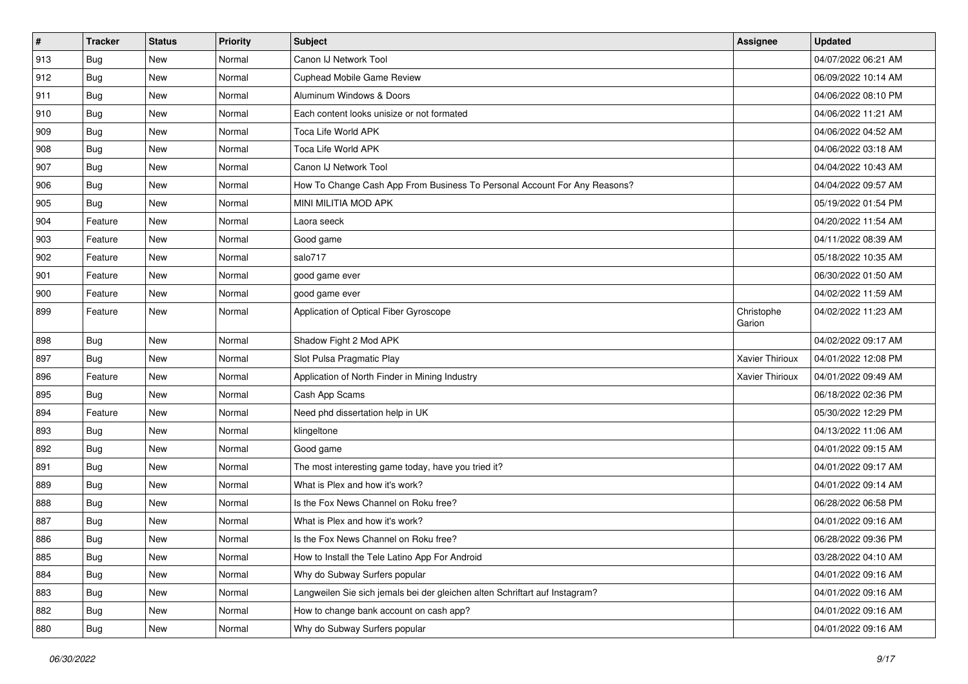| $\sharp$ | <b>Tracker</b> | <b>Status</b> | <b>Priority</b> | <b>Subject</b>                                                              | <b>Assignee</b>      | <b>Updated</b>      |
|----------|----------------|---------------|-----------------|-----------------------------------------------------------------------------|----------------------|---------------------|
| 913      | Bug            | New           | Normal          | Canon IJ Network Tool                                                       |                      | 04/07/2022 06:21 AM |
| 912      | Bug            | <b>New</b>    | Normal          | <b>Cuphead Mobile Game Review</b>                                           |                      | 06/09/2022 10:14 AM |
| 911      | Bug            | New           | Normal          | Aluminum Windows & Doors                                                    |                      | 04/06/2022 08:10 PM |
| 910      | Bug            | New           | Normal          | Each content looks unisize or not formated                                  |                      | 04/06/2022 11:21 AM |
| 909      | Bug            | New           | Normal          | Toca Life World APK                                                         |                      | 04/06/2022 04:52 AM |
| 908      | <b>Bug</b>     | New           | Normal          | Toca Life World APK                                                         |                      | 04/06/2022 03:18 AM |
| 907      | Bug            | New           | Normal          | Canon IJ Network Tool                                                       |                      | 04/04/2022 10:43 AM |
| 906      | <b>Bug</b>     | New           | Normal          | How To Change Cash App From Business To Personal Account For Any Reasons?   |                      | 04/04/2022 09:57 AM |
| 905      | <b>Bug</b>     | New           | Normal          | MINI MILITIA MOD APK                                                        |                      | 05/19/2022 01:54 PM |
| 904      | Feature        | New           | Normal          | Laora seeck                                                                 |                      | 04/20/2022 11:54 AM |
| 903      | Feature        | New           | Normal          | Good game                                                                   |                      | 04/11/2022 08:39 AM |
| 902      | Feature        | New           | Normal          | salo717                                                                     |                      | 05/18/2022 10:35 AM |
| 901      | Feature        | New           | Normal          | good game ever                                                              |                      | 06/30/2022 01:50 AM |
| 900      | Feature        | New           | Normal          | good game ever                                                              |                      | 04/02/2022 11:59 AM |
| 899      | Feature        | New           | Normal          | Application of Optical Fiber Gyroscope                                      | Christophe<br>Garion | 04/02/2022 11:23 AM |
| 898      | Bug            | New           | Normal          | Shadow Fight 2 Mod APK                                                      |                      | 04/02/2022 09:17 AM |
| 897      | Bug            | New           | Normal          | Slot Pulsa Pragmatic Play                                                   | Xavier Thirioux      | 04/01/2022 12:08 PM |
| 896      | Feature        | New           | Normal          | Application of North Finder in Mining Industry                              | Xavier Thirioux      | 04/01/2022 09:49 AM |
| 895      | <b>Bug</b>     | New           | Normal          | Cash App Scams                                                              |                      | 06/18/2022 02:36 PM |
| 894      | Feature        | New           | Normal          | Need phd dissertation help in UK                                            |                      | 05/30/2022 12:29 PM |
| 893      | <b>Bug</b>     | New           | Normal          | klingeltone                                                                 |                      | 04/13/2022 11:06 AM |
| 892      | Bug            | New           | Normal          | Good game                                                                   |                      | 04/01/2022 09:15 AM |
| 891      | <b>Bug</b>     | New           | Normal          | The most interesting game today, have you tried it?                         |                      | 04/01/2022 09:17 AM |
| 889      | Bug            | New           | Normal          | What is Plex and how it's work?                                             |                      | 04/01/2022 09:14 AM |
| 888      | <b>Bug</b>     | New           | Normal          | Is the Fox News Channel on Roku free?                                       |                      | 06/28/2022 06:58 PM |
| 887      | Bug            | New           | Normal          | What is Plex and how it's work?                                             |                      | 04/01/2022 09:16 AM |
| 886      | <b>Bug</b>     | New           | Normal          | Is the Fox News Channel on Roku free?                                       |                      | 06/28/2022 09:36 PM |
| 885      | Bug            | New           | Normal          | How to Install the Tele Latino App For Android                              |                      | 03/28/2022 04:10 AM |
| 884      | <b>Bug</b>     | New           | Normal          | Why do Subway Surfers popular                                               |                      | 04/01/2022 09:16 AM |
| 883      | Bug            | New           | Normal          | Langweilen Sie sich jemals bei der gleichen alten Schriftart auf Instagram? |                      | 04/01/2022 09:16 AM |
| 882      | <b>Bug</b>     | New           | Normal          | How to change bank account on cash app?                                     |                      | 04/01/2022 09:16 AM |
| 880      | <b>Bug</b>     | New           | Normal          | Why do Subway Surfers popular                                               |                      | 04/01/2022 09:16 AM |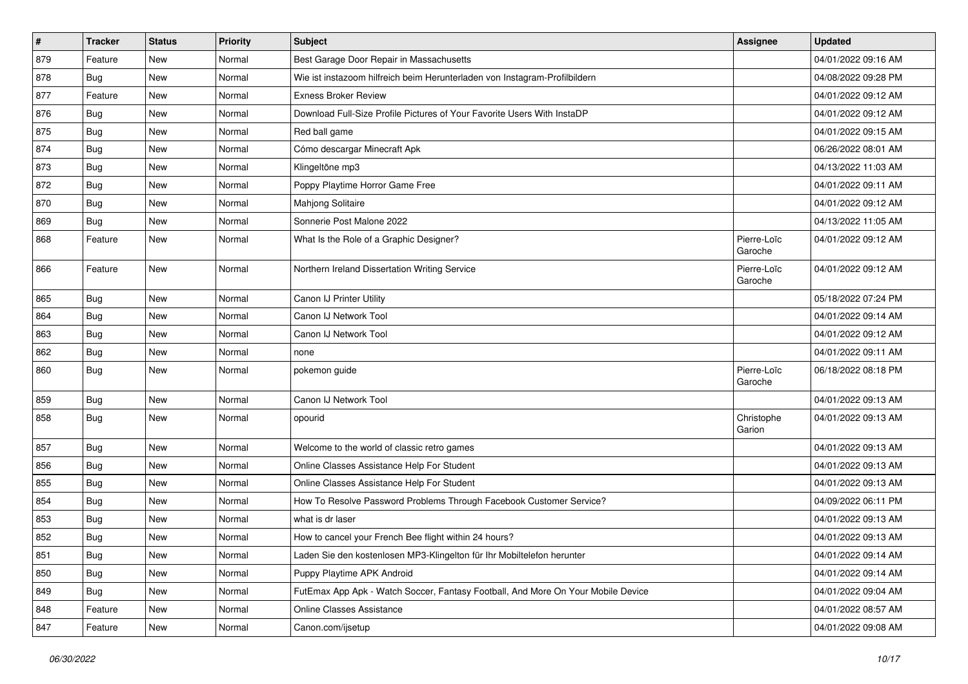| $\sharp$ | <b>Tracker</b> | <b>Status</b> | <b>Priority</b> | Subject                                                                          | <b>Assignee</b>        | <b>Updated</b>      |
|----------|----------------|---------------|-----------------|----------------------------------------------------------------------------------|------------------------|---------------------|
| 879      | Feature        | New           | Normal          | Best Garage Door Repair in Massachusetts                                         |                        | 04/01/2022 09:16 AM |
| 878      | Bug            | <b>New</b>    | Normal          | Wie ist instazoom hilfreich beim Herunterladen von Instagram-Profilbildern       |                        | 04/08/2022 09:28 PM |
| 877      | Feature        | New           | Normal          | <b>Exness Broker Review</b>                                                      |                        | 04/01/2022 09:12 AM |
| 876      | Bug            | New           | Normal          | Download Full-Size Profile Pictures of Your Favorite Users With InstaDP          |                        | 04/01/2022 09:12 AM |
| 875      | Bug            | New           | Normal          | Red ball game                                                                    |                        | 04/01/2022 09:15 AM |
| 874      | Bug            | New           | Normal          | Cómo descargar Minecraft Apk                                                     |                        | 06/26/2022 08:01 AM |
| 873      | Bug            | New           | Normal          | Klingeltöne mp3                                                                  |                        | 04/13/2022 11:03 AM |
| 872      | <b>Bug</b>     | New           | Normal          | Poppy Playtime Horror Game Free                                                  |                        | 04/01/2022 09:11 AM |
| 870      | <b>Bug</b>     | New           | Normal          | Mahjong Solitaire                                                                |                        | 04/01/2022 09:12 AM |
| 869      | Bug            | New           | Normal          | Sonnerie Post Malone 2022                                                        |                        | 04/13/2022 11:05 AM |
| 868      | Feature        | New           | Normal          | What Is the Role of a Graphic Designer?                                          | Pierre-Loïc<br>Garoche | 04/01/2022 09:12 AM |
| 866      | Feature        | New           | Normal          | Northern Ireland Dissertation Writing Service                                    | Pierre-Loïc<br>Garoche | 04/01/2022 09:12 AM |
| 865      | Bug            | New           | Normal          | Canon IJ Printer Utility                                                         |                        | 05/18/2022 07:24 PM |
| 864      | Bug            | New           | Normal          | Canon IJ Network Tool                                                            |                        | 04/01/2022 09:14 AM |
| 863      | <b>Bug</b>     | New           | Normal          | Canon IJ Network Tool                                                            |                        | 04/01/2022 09:12 AM |
| 862      | Bug            | New           | Normal          | none                                                                             |                        | 04/01/2022 09:11 AM |
| 860      | Bug            | New           | Normal          | pokemon guide                                                                    | Pierre-Loïc<br>Garoche | 06/18/2022 08:18 PM |
| 859      | Bug            | New           | Normal          | Canon IJ Network Tool                                                            |                        | 04/01/2022 09:13 AM |
| 858      | Bug            | New           | Normal          | opourid                                                                          | Christophe<br>Garion   | 04/01/2022 09:13 AM |
| 857      | <b>Bug</b>     | New           | Normal          | Welcome to the world of classic retro games                                      |                        | 04/01/2022 09:13 AM |
| 856      | <b>Bug</b>     | New           | Normal          | Online Classes Assistance Help For Student                                       |                        | 04/01/2022 09:13 AM |
| 855      | Bug            | New           | Normal          | Online Classes Assistance Help For Student                                       |                        | 04/01/2022 09:13 AM |
| 854      | <b>Bug</b>     | New           | Normal          | How To Resolve Password Problems Through Facebook Customer Service?              |                        | 04/09/2022 06:11 PM |
| 853      | Bug            | New           | Normal          | what is dr laser                                                                 |                        | 04/01/2022 09:13 AM |
| 852      | <b>Bug</b>     | New           | Normal          | How to cancel your French Bee flight within 24 hours?                            |                        | 04/01/2022 09:13 AM |
| 851      | <b>Bug</b>     | New           | Normal          | Laden Sie den kostenlosen MP3-Klingelton für Ihr Mobiltelefon herunter           |                        | 04/01/2022 09:14 AM |
| 850      | Bug            | New           | Normal          | Puppy Playtime APK Android                                                       |                        | 04/01/2022 09:14 AM |
| 849      | <b>Bug</b>     | New           | Normal          | FutEmax App Apk - Watch Soccer, Fantasy Football, And More On Your Mobile Device |                        | 04/01/2022 09:04 AM |
| 848      | Feature        | New           | Normal          | Online Classes Assistance                                                        |                        | 04/01/2022 08:57 AM |
| 847      | Feature        | New           | Normal          | Canon.com/ijsetup                                                                |                        | 04/01/2022 09:08 AM |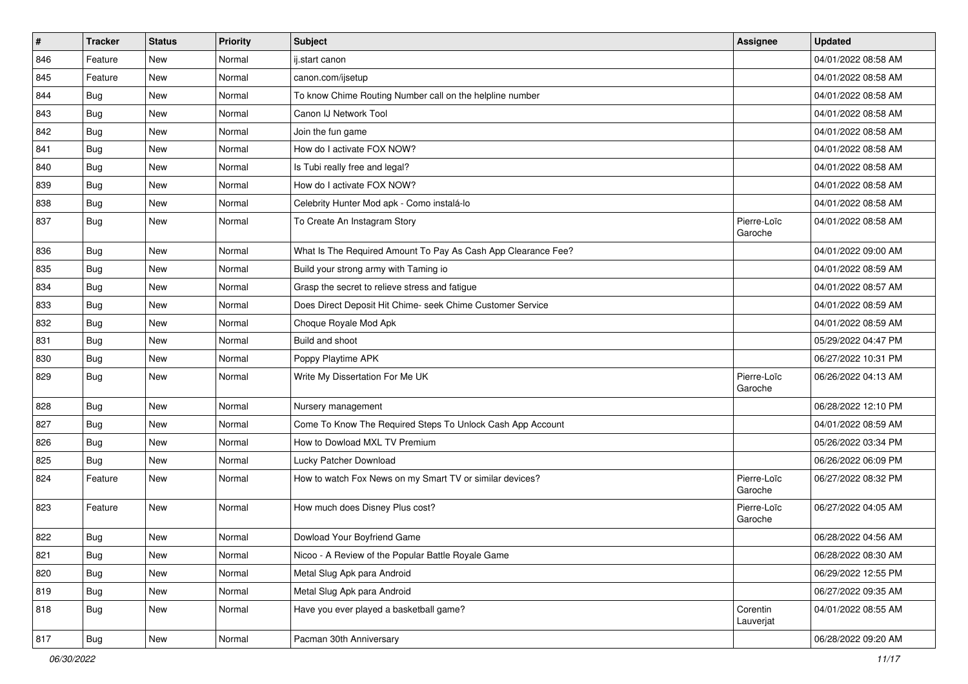| $\vert$ # | <b>Tracker</b> | <b>Status</b> | <b>Priority</b> | <b>Subject</b>                                                | <b>Assignee</b>        | <b>Updated</b>      |
|-----------|----------------|---------------|-----------------|---------------------------------------------------------------|------------------------|---------------------|
| 846       | Feature        | New           | Normal          | ij.start canon                                                |                        | 04/01/2022 08:58 AM |
| 845       | Feature        | <b>New</b>    | Normal          | canon.com/ijsetup                                             |                        | 04/01/2022 08:58 AM |
| 844       | <b>Bug</b>     | New           | Normal          | To know Chime Routing Number call on the helpline number      |                        | 04/01/2022 08:58 AM |
| 843       | Bug            | New           | Normal          | Canon IJ Network Tool                                         |                        | 04/01/2022 08:58 AM |
| 842       | Bug            | New           | Normal          | Join the fun game                                             |                        | 04/01/2022 08:58 AM |
| 841       | Bug            | New           | Normal          | How do I activate FOX NOW?                                    |                        | 04/01/2022 08:58 AM |
| 840       | Bug            | New           | Normal          | Is Tubi really free and legal?                                |                        | 04/01/2022 08:58 AM |
| 839       | Bug            | New           | Normal          | How do I activate FOX NOW?                                    |                        | 04/01/2022 08:58 AM |
| 838       | Bug            | New           | Normal          | Celebrity Hunter Mod apk - Como instalá-lo                    |                        | 04/01/2022 08:58 AM |
| 837       | Bug            | New           | Normal          | To Create An Instagram Story                                  | Pierre-Loïc<br>Garoche | 04/01/2022 08:58 AM |
| 836       | Bug            | New           | Normal          | What Is The Required Amount To Pay As Cash App Clearance Fee? |                        | 04/01/2022 09:00 AM |
| 835       | Bug            | New           | Normal          | Build your strong army with Taming io                         |                        | 04/01/2022 08:59 AM |
| 834       | <b>Bug</b>     | New           | Normal          | Grasp the secret to relieve stress and fatigue                |                        | 04/01/2022 08:57 AM |
| 833       | Bug            | New           | Normal          | Does Direct Deposit Hit Chime- seek Chime Customer Service    |                        | 04/01/2022 08:59 AM |
| 832       | <b>Bug</b>     | New           | Normal          | Choque Royale Mod Apk                                         |                        | 04/01/2022 08:59 AM |
| 831       | Bug            | New           | Normal          | Build and shoot                                               |                        | 05/29/2022 04:47 PM |
| 830       | Bug            | New           | Normal          | Poppy Playtime APK                                            |                        | 06/27/2022 10:31 PM |
| 829       | Bug            | New           | Normal          | Write My Dissertation For Me UK                               | Pierre-Loïc<br>Garoche | 06/26/2022 04:13 AM |
| 828       | Bug            | <b>New</b>    | Normal          | Nursery management                                            |                        | 06/28/2022 12:10 PM |
| 827       | Bug            | New           | Normal          | Come To Know The Required Steps To Unlock Cash App Account    |                        | 04/01/2022 08:59 AM |
| 826       | Bug            | New           | Normal          | How to Dowload MXL TV Premium                                 |                        | 05/26/2022 03:34 PM |
| 825       | <b>Bug</b>     | New           | Normal          | Lucky Patcher Download                                        |                        | 06/26/2022 06:09 PM |
| 824       | Feature        | New           | Normal          | How to watch Fox News on my Smart TV or similar devices?      | Pierre-Loïc<br>Garoche | 06/27/2022 08:32 PM |
| 823       | Feature        | New           | Normal          | How much does Disney Plus cost?                               | Pierre-Loïc<br>Garoche | 06/27/2022 04:05 AM |
| 822       | <b>Bug</b>     | New           | Normal          | Dowload Your Boyfriend Game                                   |                        | 06/28/2022 04:56 AM |
| 821       | <b>Bug</b>     | New           | Normal          | Nicoo - A Review of the Popular Battle Royale Game            |                        | 06/28/2022 08:30 AM |
| 820       | <b>Bug</b>     | New           | Normal          | Metal Slug Apk para Android                                   |                        | 06/29/2022 12:55 PM |
| 819       | <b>Bug</b>     | New           | Normal          | Metal Slug Apk para Android                                   |                        | 06/27/2022 09:35 AM |
| 818       | <b>Bug</b>     | New           | Normal          | Have you ever played a basketball game?                       | Corentin<br>Lauverjat  | 04/01/2022 08:55 AM |
| 817       | Bug            | New           | Normal          | Pacman 30th Anniversary                                       |                        | 06/28/2022 09:20 AM |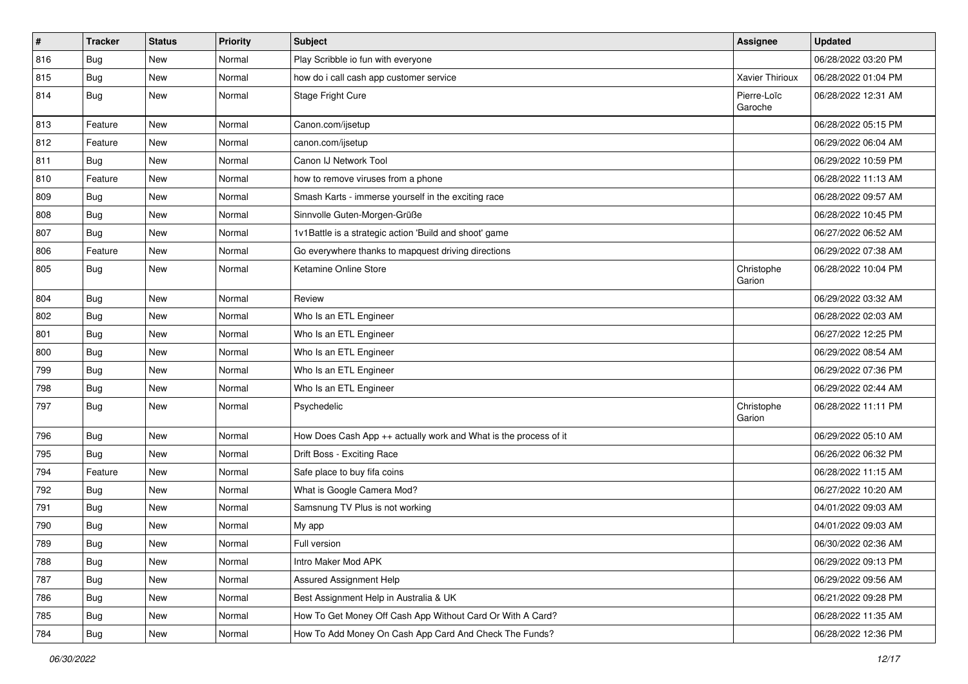| $\vert$ # | <b>Tracker</b> | <b>Status</b> | <b>Priority</b> | Subject                                                          | <b>Assignee</b>        | <b>Updated</b>      |
|-----------|----------------|---------------|-----------------|------------------------------------------------------------------|------------------------|---------------------|
| 816       | Bug            | New           | Normal          | Play Scribble io fun with everyone                               |                        | 06/28/2022 03:20 PM |
| 815       | Bug            | New           | Normal          | how do i call cash app customer service                          | Xavier Thirioux        | 06/28/2022 01:04 PM |
| 814       | Bug            | New           | Normal          | Stage Fright Cure                                                | Pierre-Loïc<br>Garoche | 06/28/2022 12:31 AM |
| 813       | Feature        | New           | Normal          | Canon.com/ijsetup                                                |                        | 06/28/2022 05:15 PM |
| 812       | Feature        | New           | Normal          | canon.com/ijsetup                                                |                        | 06/29/2022 06:04 AM |
| 811       | <b>Bug</b>     | New           | Normal          | Canon IJ Network Tool                                            |                        | 06/29/2022 10:59 PM |
| 810       | Feature        | New           | Normal          | how to remove viruses from a phone                               |                        | 06/28/2022 11:13 AM |
| 809       | Bug            | New           | Normal          | Smash Karts - immerse yourself in the exciting race              |                        | 06/28/2022 09:57 AM |
| 808       | Bug            | New           | Normal          | Sinnvolle Guten-Morgen-Grüße                                     |                        | 06/28/2022 10:45 PM |
| 807       | <b>Bug</b>     | New           | Normal          | 1v1Battle is a strategic action 'Build and shoot' game           |                        | 06/27/2022 06:52 AM |
| 806       | Feature        | New           | Normal          | Go everywhere thanks to mapquest driving directions              |                        | 06/29/2022 07:38 AM |
| 805       | Bug            | New           | Normal          | Ketamine Online Store                                            | Christophe<br>Garion   | 06/28/2022 10:04 PM |
| 804       | Bug            | New           | Normal          | Review                                                           |                        | 06/29/2022 03:32 AM |
| 802       | Bug            | New           | Normal          | Who Is an ETL Engineer                                           |                        | 06/28/2022 02:03 AM |
| 801       | Bug            | New           | Normal          | Who Is an ETL Engineer                                           |                        | 06/27/2022 12:25 PM |
| 800       | Bug            | New           | Normal          | Who Is an ETL Engineer                                           |                        | 06/29/2022 08:54 AM |
| 799       | <b>Bug</b>     | New           | Normal          | Who Is an ETL Engineer                                           |                        | 06/29/2022 07:36 PM |
| 798       | Bug            | New           | Normal          | Who Is an ETL Engineer                                           |                        | 06/29/2022 02:44 AM |
| 797       | Bug            | New           | Normal          | Psychedelic                                                      | Christophe<br>Garion   | 06/28/2022 11:11 PM |
| 796       | Bug            | New           | Normal          | How Does Cash App ++ actually work and What is the process of it |                        | 06/29/2022 05:10 AM |
| 795       | <b>Bug</b>     | New           | Normal          | Drift Boss - Exciting Race                                       |                        | 06/26/2022 06:32 PM |
| 794       | Feature        | New           | Normal          | Safe place to buy fifa coins                                     |                        | 06/28/2022 11:15 AM |
| 792       | Bug            | New           | Normal          | What is Google Camera Mod?                                       |                        | 06/27/2022 10:20 AM |
| 791       | Bug            | New           | Normal          | Samsnung TV Plus is not working                                  |                        | 04/01/2022 09:03 AM |
| 790       | <b>Bug</b>     | New           | Normal          | My app                                                           |                        | 04/01/2022 09:03 AM |
| 789       | Bug            | New           | Normal          | Full version                                                     |                        | 06/30/2022 02:36 AM |
| 788       | Bug            | New           | Normal          | Intro Maker Mod APK                                              |                        | 06/29/2022 09:13 PM |
| 787       | Bug            | New           | Normal          | Assured Assignment Help                                          |                        | 06/29/2022 09:56 AM |
| 786       | <b>Bug</b>     | New           | Normal          | Best Assignment Help in Australia & UK                           |                        | 06/21/2022 09:28 PM |
| 785       | Bug            | New           | Normal          | How To Get Money Off Cash App Without Card Or With A Card?       |                        | 06/28/2022 11:35 AM |
| 784       | <b>Bug</b>     | New           | Normal          | How To Add Money On Cash App Card And Check The Funds?           |                        | 06/28/2022 12:36 PM |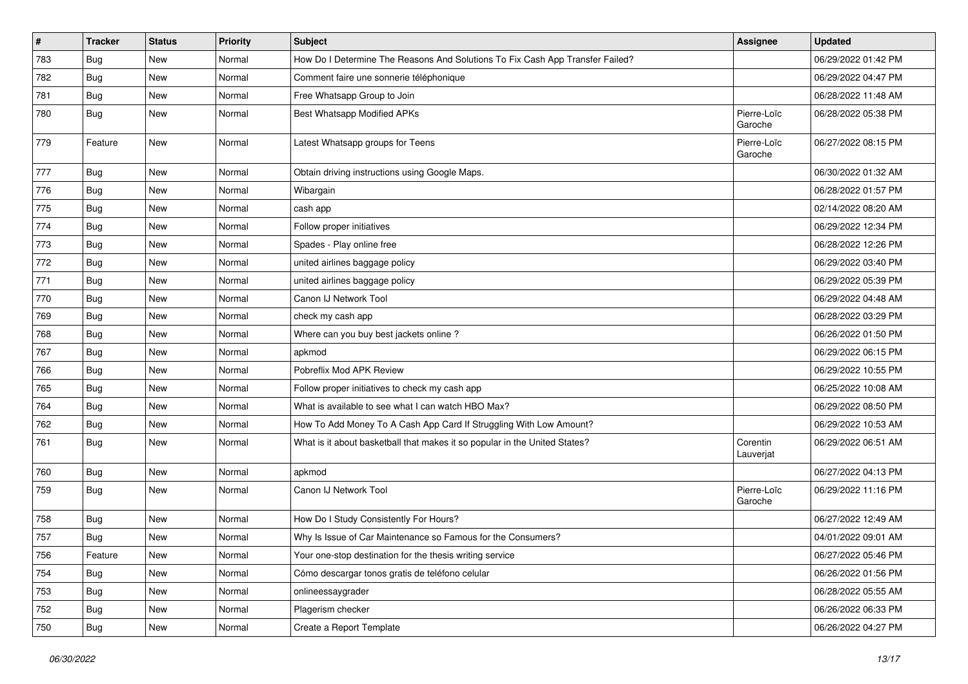| $\vert$ # | <b>Tracker</b> | <b>Status</b> | <b>Priority</b> | Subject                                                                       | <b>Assignee</b>        | <b>Updated</b>      |
|-----------|----------------|---------------|-----------------|-------------------------------------------------------------------------------|------------------------|---------------------|
| 783       | <b>Bug</b>     | New           | Normal          | How Do I Determine The Reasons And Solutions To Fix Cash App Transfer Failed? |                        | 06/29/2022 01:42 PM |
| 782       | Bug            | New           | Normal          | Comment faire une sonnerie téléphonique                                       |                        | 06/29/2022 04:47 PM |
| 781       | Bug            | New           | Normal          | Free Whatsapp Group to Join                                                   |                        | 06/28/2022 11:48 AM |
| 780       | <b>Bug</b>     | New           | Normal          | Best Whatsapp Modified APKs                                                   | Pierre-Loïc<br>Garoche | 06/28/2022 05:38 PM |
| 779       | Feature        | New           | Normal          | Latest Whatsapp groups for Teens                                              | Pierre-Loïc<br>Garoche | 06/27/2022 08:15 PM |
| 777       | Bug            | New           | Normal          | Obtain driving instructions using Google Maps.                                |                        | 06/30/2022 01:32 AM |
| 776       | <b>Bug</b>     | New           | Normal          | Wibargain                                                                     |                        | 06/28/2022 01:57 PM |
| 775       | <b>Bug</b>     | New           | Normal          | cash app                                                                      |                        | 02/14/2022 08:20 AM |
| 774       | Bug            | New           | Normal          | Follow proper initiatives                                                     |                        | 06/29/2022 12:34 PM |
| 773       | <b>Bug</b>     | New           | Normal          | Spades - Play online free                                                     |                        | 06/28/2022 12:26 PM |
| 772       | Bug            | New           | Normal          | united airlines baggage policy                                                |                        | 06/29/2022 03:40 PM |
| 771       | Bug            | New           | Normal          | united airlines baggage policy                                                |                        | 06/29/2022 05:39 PM |
| 770       | <b>Bug</b>     | New           | Normal          | Canon IJ Network Tool                                                         |                        | 06/29/2022 04:48 AM |
| 769       | Bug            | New           | Normal          | check my cash app                                                             |                        | 06/28/2022 03:29 PM |
| 768       | <b>Bug</b>     | New           | Normal          | Where can you buy best jackets online?                                        |                        | 06/26/2022 01:50 PM |
| 767       | Bug            | New           | Normal          | apkmod                                                                        |                        | 06/29/2022 06:15 PM |
| 766       | <b>Bug</b>     | New           | Normal          | Pobreflix Mod APK Review                                                      |                        | 06/29/2022 10:55 PM |
| 765       | <b>Bug</b>     | New           | Normal          | Follow proper initiatives to check my cash app                                |                        | 06/25/2022 10:08 AM |
| 764       | Bug            | New           | Normal          | What is available to see what I can watch HBO Max?                            |                        | 06/29/2022 08:50 PM |
| 762       | <b>Bug</b>     | New           | Normal          | How To Add Money To A Cash App Card If Struggling With Low Amount?            |                        | 06/29/2022 10:53 AM |
| 761       | <b>Bug</b>     | New           | Normal          | What is it about basketball that makes it so popular in the United States?    | Corentin<br>Lauverjat  | 06/29/2022 06:51 AM |
| 760       | Bug            | New           | Normal          | apkmod                                                                        |                        | 06/27/2022 04:13 PM |
| 759       | Bug            | New           | Normal          | Canon IJ Network Tool                                                         | Pierre-Loïc<br>Garoche | 06/29/2022 11:16 PM |
| 758       | <b>Bug</b>     | New           | Normal          | How Do I Study Consistently For Hours?                                        |                        | 06/27/2022 12:49 AM |
| 757       | Bug            | New           | Normal          | Why Is Issue of Car Maintenance so Famous for the Consumers?                  |                        | 04/01/2022 09:01 AM |
| 756       | Feature        | New           | Normal          | Your one-stop destination for the thesis writing service                      |                        | 06/27/2022 05:46 PM |
| 754       | Bug            | New           | Normal          | Cómo descargar tonos gratis de teléfono celular                               |                        | 06/26/2022 01:56 PM |
| 753       | Bug            | New           | Normal          | onlineessaygrader                                                             |                        | 06/28/2022 05:55 AM |
| 752       | <b>Bug</b>     | New           | Normal          | Plagerism checker                                                             |                        | 06/26/2022 06:33 PM |
| 750       | Bug            | New           | Normal          | Create a Report Template                                                      |                        | 06/26/2022 04:27 PM |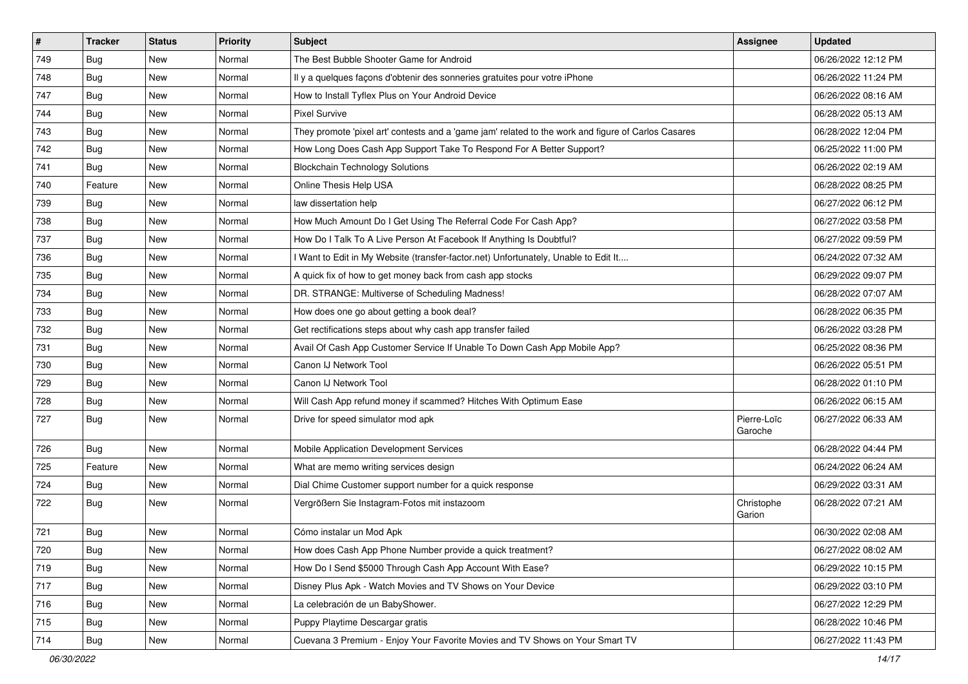| $\vert$ # | <b>Tracker</b> | <b>Status</b> | <b>Priority</b> | Subject                                                                                             | Assignee               | <b>Updated</b>      |
|-----------|----------------|---------------|-----------------|-----------------------------------------------------------------------------------------------------|------------------------|---------------------|
| 749       | Bug            | New           | Normal          | The Best Bubble Shooter Game for Android                                                            |                        | 06/26/2022 12:12 PM |
| 748       | Bug            | New           | Normal          | Il y a quelques façons d'obtenir des sonneries gratuites pour votre iPhone                          |                        | 06/26/2022 11:24 PM |
| 747       | Bug            | New           | Normal          | How to Install Tyflex Plus on Your Android Device                                                   |                        | 06/26/2022 08:16 AM |
| 744       | <b>Bug</b>     | New           | Normal          | <b>Pixel Survive</b>                                                                                |                        | 06/28/2022 05:13 AM |
| 743       | <b>Bug</b>     | New           | Normal          | They promote 'pixel art' contests and a 'game jam' related to the work and figure of Carlos Casares |                        | 06/28/2022 12:04 PM |
| 742       | <b>Bug</b>     | New           | Normal          | How Long Does Cash App Support Take To Respond For A Better Support?                                |                        | 06/25/2022 11:00 PM |
| 741       | <b>Bug</b>     | New           | Normal          | <b>Blockchain Technology Solutions</b>                                                              |                        | 06/26/2022 02:19 AM |
| 740       | Feature        | New           | Normal          | Online Thesis Help USA                                                                              |                        | 06/28/2022 08:25 PM |
| 739       | Bug            | New           | Normal          | law dissertation help                                                                               |                        | 06/27/2022 06:12 PM |
| 738       | Bug            | New           | Normal          | How Much Amount Do I Get Using The Referral Code For Cash App?                                      |                        | 06/27/2022 03:58 PM |
| 737       | <b>Bug</b>     | New           | Normal          | How Do I Talk To A Live Person At Facebook If Anything Is Doubtful?                                 |                        | 06/27/2022 09:59 PM |
| 736       | <b>Bug</b>     | New           | Normal          | I Want to Edit in My Website (transfer-factor.net) Unfortunately, Unable to Edit It                 |                        | 06/24/2022 07:32 AM |
| 735       | Bug            | New           | Normal          | A quick fix of how to get money back from cash app stocks                                           |                        | 06/29/2022 09:07 PM |
| 734       | <b>Bug</b>     | New           | Normal          | DR. STRANGE: Multiverse of Scheduling Madness!                                                      |                        | 06/28/2022 07:07 AM |
| 733       | Bug            | <b>New</b>    | Normal          | How does one go about getting a book deal?                                                          |                        | 06/28/2022 06:35 PM |
| 732       | <b>Bug</b>     | New           | Normal          | Get rectifications steps about why cash app transfer failed                                         |                        | 06/26/2022 03:28 PM |
| 731       | <b>Bug</b>     | New           | Normal          | Avail Of Cash App Customer Service If Unable To Down Cash App Mobile App?                           |                        | 06/25/2022 08:36 PM |
| 730       | Bug            | New           | Normal          | Canon IJ Network Tool                                                                               |                        | 06/26/2022 05:51 PM |
| 729       | <b>Bug</b>     | New           | Normal          | Canon IJ Network Tool                                                                               |                        | 06/28/2022 01:10 PM |
| 728       | Bug            | New           | Normal          | Will Cash App refund money if scammed? Hitches With Optimum Ease                                    |                        | 06/26/2022 06:15 AM |
| 727       | Bug            | New           | Normal          | Drive for speed simulator mod apk                                                                   | Pierre-Loïc<br>Garoche | 06/27/2022 06:33 AM |
| 726       | <b>Bug</b>     | New           | Normal          | Mobile Application Development Services                                                             |                        | 06/28/2022 04:44 PM |
| 725       | Feature        | New           | Normal          | What are memo writing services design                                                               |                        | 06/24/2022 06:24 AM |
| 724       | Bug            | New           | Normal          | Dial Chime Customer support number for a quick response                                             |                        | 06/29/2022 03:31 AM |
| 722       | Bug            | New           | Normal          | Vergrößern Sie Instagram-Fotos mit instazoom                                                        | Christophe<br>Garion   | 06/28/2022 07:21 AM |
| 721       | Bug            | New           | Normal          | Cómo instalar un Mod Apk                                                                            |                        | 06/30/2022 02:08 AM |
| 720       | Bug            | New           | Normal          | How does Cash App Phone Number provide a quick treatment?                                           |                        | 06/27/2022 08:02 AM |
| 719       | <b>Bug</b>     | New           | Normal          | How Do I Send \$5000 Through Cash App Account With Ease?                                            |                        | 06/29/2022 10:15 PM |
| 717       | <b>Bug</b>     | New           | Normal          | Disney Plus Apk - Watch Movies and TV Shows on Your Device                                          |                        | 06/29/2022 03:10 PM |
| 716       | <b>Bug</b>     | New           | Normal          | La celebración de un BabyShower.                                                                    |                        | 06/27/2022 12:29 PM |
| 715       | Bug            | New           | Normal          | Puppy Playtime Descargar gratis                                                                     |                        | 06/28/2022 10:46 PM |
| 714       | <b>Bug</b>     | New           | Normal          | Cuevana 3 Premium - Enjoy Your Favorite Movies and TV Shows on Your Smart TV                        |                        | 06/27/2022 11:43 PM |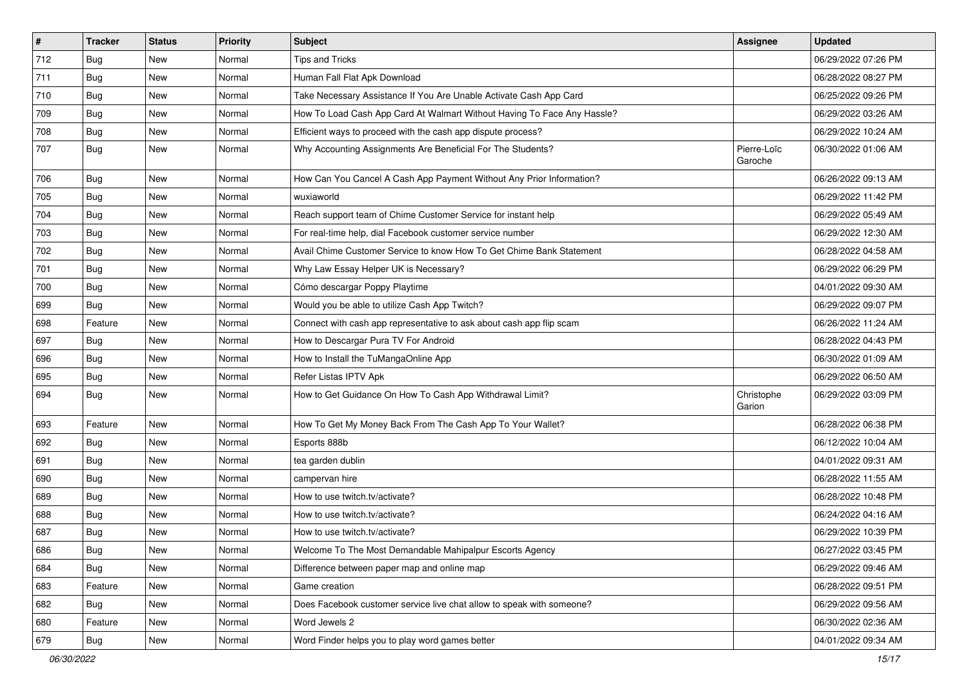| $\vert$ # | <b>Tracker</b> | <b>Status</b> | <b>Priority</b> | Subject                                                                 | <b>Assignee</b>        | <b>Updated</b>      |
|-----------|----------------|---------------|-----------------|-------------------------------------------------------------------------|------------------------|---------------------|
| 712       | <b>Bug</b>     | New           | Normal          | <b>Tips and Tricks</b>                                                  |                        | 06/29/2022 07:26 PM |
| 711       | Bug            | <b>New</b>    | Normal          | Human Fall Flat Apk Download                                            |                        | 06/28/2022 08:27 PM |
| 710       | <b>Bug</b>     | New           | Normal          | Take Necessary Assistance If You Are Unable Activate Cash App Card      |                        | 06/25/2022 09:26 PM |
| 709       | <b>Bug</b>     | New           | Normal          | How To Load Cash App Card At Walmart Without Having To Face Any Hassle? |                        | 06/29/2022 03:26 AM |
| 708       | Bug            | New           | Normal          | Efficient ways to proceed with the cash app dispute process?            |                        | 06/29/2022 10:24 AM |
| 707       | <b>Bug</b>     | New           | Normal          | Why Accounting Assignments Are Beneficial For The Students?             | Pierre-Loïc<br>Garoche | 06/30/2022 01:06 AM |
| 706       | Bug            | New           | Normal          | How Can You Cancel A Cash App Payment Without Any Prior Information?    |                        | 06/26/2022 09:13 AM |
| 705       | <b>Bug</b>     | New           | Normal          | wuxiaworld                                                              |                        | 06/29/2022 11:42 PM |
| 704       | Bug            | New           | Normal          | Reach support team of Chime Customer Service for instant help           |                        | 06/29/2022 05:49 AM |
| 703       | <b>Bug</b>     | New           | Normal          | For real-time help, dial Facebook customer service number               |                        | 06/29/2022 12:30 AM |
| 702       | <b>Bug</b>     | New           | Normal          | Avail Chime Customer Service to know How To Get Chime Bank Statement    |                        | 06/28/2022 04:58 AM |
| 701       | Bug            | New           | Normal          | Why Law Essay Helper UK is Necessary?                                   |                        | 06/29/2022 06:29 PM |
| 700       | Bug            | New           | Normal          | Cómo descargar Poppy Playtime                                           |                        | 04/01/2022 09:30 AM |
| 699       | <b>Bug</b>     | New           | Normal          | Would you be able to utilize Cash App Twitch?                           |                        | 06/29/2022 09:07 PM |
| 698       | Feature        | New           | Normal          | Connect with cash app representative to ask about cash app flip scam    |                        | 06/26/2022 11:24 AM |
| 697       | Bug            | New           | Normal          | How to Descargar Pura TV For Android                                    |                        | 06/28/2022 04:43 PM |
| 696       | Bug            | New           | Normal          | How to Install the TuMangaOnline App                                    |                        | 06/30/2022 01:09 AM |
| 695       | <b>Bug</b>     | New           | Normal          | Refer Listas IPTV Apk                                                   |                        | 06/29/2022 06:50 AM |
| 694       | <b>Bug</b>     | New           | Normal          | How to Get Guidance On How To Cash App Withdrawal Limit?                | Christophe<br>Garion   | 06/29/2022 03:09 PM |
| 693       | Feature        | New           | Normal          | How To Get My Money Back From The Cash App To Your Wallet?              |                        | 06/28/2022 06:38 PM |
| 692       | Bug            | New           | Normal          | Esports 888b                                                            |                        | 06/12/2022 10:04 AM |
| 691       | <b>Bug</b>     | New           | Normal          | tea garden dublin                                                       |                        | 04/01/2022 09:31 AM |
| 690       | <b>Bug</b>     | New           | Normal          | campervan hire                                                          |                        | 06/28/2022 11:55 AM |
| 689       | <b>Bug</b>     | New           | Normal          | How to use twitch.tv/activate?                                          |                        | 06/28/2022 10:48 PM |
| 688       | <b>Bug</b>     | New           | Normal          | How to use twitch.tv/activate?                                          |                        | 06/24/2022 04:16 AM |
| 687       | <b>Bug</b>     | New           | Normal          | How to use twitch.tv/activate?                                          |                        | 06/29/2022 10:39 PM |
| 686       | Bug            | New           | Normal          | Welcome To The Most Demandable Mahipalpur Escorts Agency                |                        | 06/27/2022 03:45 PM |
| 684       | <b>Bug</b>     | New           | Normal          | Difference between paper map and online map                             |                        | 06/29/2022 09:46 AM |
| 683       | Feature        | New           | Normal          | Game creation                                                           |                        | 06/28/2022 09:51 PM |
| 682       | Bug            | New           | Normal          | Does Facebook customer service live chat allow to speak with someone?   |                        | 06/29/2022 09:56 AM |
| 680       | Feature        | New           | Normal          | Word Jewels 2                                                           |                        | 06/30/2022 02:36 AM |
| 679       | <b>Bug</b>     | New           | Normal          | Word Finder helps you to play word games better                         |                        | 04/01/2022 09:34 AM |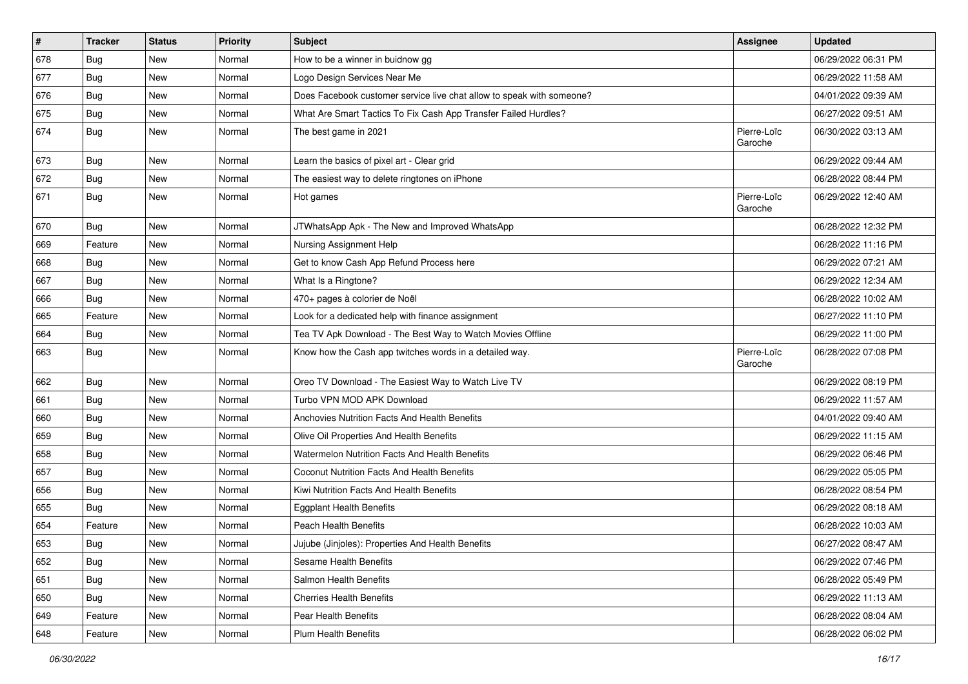| $\vert$ # | <b>Tracker</b> | <b>Status</b> | <b>Priority</b> | <b>Subject</b>                                                        | <b>Assignee</b>        | <b>Updated</b>      |
|-----------|----------------|---------------|-----------------|-----------------------------------------------------------------------|------------------------|---------------------|
| 678       | Bug            | New           | Normal          | How to be a winner in buidnow gg                                      |                        | 06/29/2022 06:31 PM |
| 677       | Bug            | <b>New</b>    | Normal          | Logo Design Services Near Me                                          |                        | 06/29/2022 11:58 AM |
| 676       | <b>Bug</b>     | New           | Normal          | Does Facebook customer service live chat allow to speak with someone? |                        | 04/01/2022 09:39 AM |
| 675       | <b>Bug</b>     | New           | Normal          | What Are Smart Tactics To Fix Cash App Transfer Failed Hurdles?       |                        | 06/27/2022 09:51 AM |
| 674       | Bug            | New           | Normal          | The best game in 2021                                                 | Pierre-Loïc<br>Garoche | 06/30/2022 03:13 AM |
| 673       | <b>Bug</b>     | New           | Normal          | Learn the basics of pixel art - Clear grid                            |                        | 06/29/2022 09:44 AM |
| 672       | Bug            | New           | Normal          | The easiest way to delete ringtones on iPhone                         |                        | 06/28/2022 08:44 PM |
| 671       | <b>Bug</b>     | New           | Normal          | Hot games                                                             | Pierre-Loïc<br>Garoche | 06/29/2022 12:40 AM |
| 670       | Bug            | New           | Normal          | JTWhatsApp Apk - The New and Improved WhatsApp                        |                        | 06/28/2022 12:32 PM |
| 669       | Feature        | New           | Normal          | Nursing Assignment Help                                               |                        | 06/28/2022 11:16 PM |
| 668       | Bug            | New           | Normal          | Get to know Cash App Refund Process here                              |                        | 06/29/2022 07:21 AM |
| 667       | <b>Bug</b>     | New           | Normal          | What Is a Ringtone?                                                   |                        | 06/29/2022 12:34 AM |
| 666       | <b>Bug</b>     | New           | Normal          | 470+ pages à colorier de Noël                                         |                        | 06/28/2022 10:02 AM |
| 665       | Feature        | New           | Normal          | Look for a dedicated help with finance assignment                     |                        | 06/27/2022 11:10 PM |
| 664       | <b>Bug</b>     | New           | Normal          | Tea TV Apk Download - The Best Way to Watch Movies Offline            |                        | 06/29/2022 11:00 PM |
| 663       | Bug            | New           | Normal          | Know how the Cash app twitches words in a detailed way.               | Pierre-Loïc<br>Garoche | 06/28/2022 07:08 PM |
| 662       | Bug            | New           | Normal          | Oreo TV Download - The Easiest Way to Watch Live TV                   |                        | 06/29/2022 08:19 PM |
| 661       | Bug            | New           | Normal          | Turbo VPN MOD APK Download                                            |                        | 06/29/2022 11:57 AM |
| 660       | Bug            | New           | Normal          | <b>Anchovies Nutrition Facts And Health Benefits</b>                  |                        | 04/01/2022 09:40 AM |
| 659       | <b>Bug</b>     | New           | Normal          | Olive Oil Properties And Health Benefits                              |                        | 06/29/2022 11:15 AM |
| 658       | <b>Bug</b>     | New           | Normal          | Watermelon Nutrition Facts And Health Benefits                        |                        | 06/29/2022 06:46 PM |
| 657       | <b>Bug</b>     | New           | Normal          | Coconut Nutrition Facts And Health Benefits                           |                        | 06/29/2022 05:05 PM |
| 656       | Bug            | New           | Normal          | Kiwi Nutrition Facts And Health Benefits                              |                        | 06/28/2022 08:54 PM |
| 655       | <b>Bug</b>     | New           | Normal          | <b>Eggplant Health Benefits</b>                                       |                        | 06/29/2022 08:18 AM |
| 654       | Feature        | New           | Normal          | <b>Peach Health Benefits</b>                                          |                        | 06/28/2022 10:03 AM |
| 653       | Bug            | New           | Normal          | Jujube (Jinjoles): Properties And Health Benefits                     |                        | 06/27/2022 08:47 AM |
| 652       | <b>Bug</b>     | New           | Normal          | Sesame Health Benefits                                                |                        | 06/29/2022 07:46 PM |
| 651       | <b>Bug</b>     | New           | Normal          | Salmon Health Benefits                                                |                        | 06/28/2022 05:49 PM |
| 650       | Bug            | New           | Normal          | <b>Cherries Health Benefits</b>                                       |                        | 06/29/2022 11:13 AM |
| 649       | Feature        | New           | Normal          | Pear Health Benefits                                                  |                        | 06/28/2022 08:04 AM |
| 648       | Feature        | New           | Normal          | <b>Plum Health Benefits</b>                                           |                        | 06/28/2022 06:02 PM |